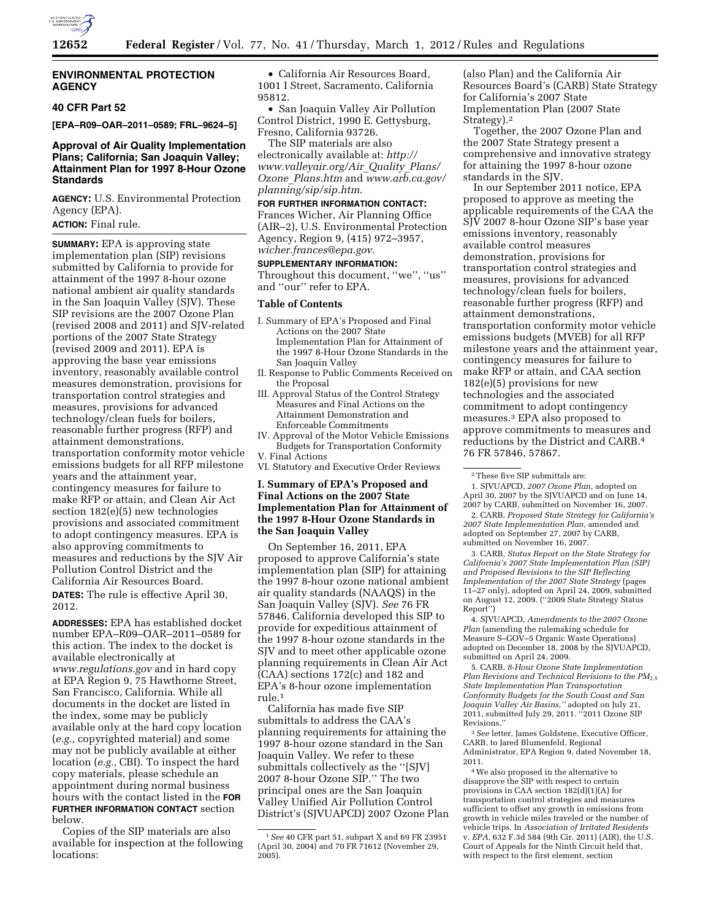

#### **ENVIRONMENTAL PROTECTION AGENCY**

#### **40 CFR Part 52**

**[EPA–R09–OAR–2011–0589; FRL–9624–5]** 

### **Approval of Air Quality Implementation Plans; California; San Joaquin Valley; Attainment Plan for 1997 8-Hour Ozone Standards**

**AGENCY:** U.S. Environmental Protection Agency (EPA).

# **ACTION:** Final rule.

**SUMMARY:** EPA is approving state implementation plan (SIP) revisions submitted by California to provide for attainment of the 1997 8-hour ozone national ambient air quality standards in the San Joaquin Valley (SJV). These SIP revisions are the 2007 Ozone Plan (revised 2008 and 2011) and SJV-related portions of the 2007 State Strategy (revised 2009 and 2011). EPA is approving the base year emissions inventory, reasonably available control measures demonstration, provisions for transportation control strategies and measures, provisions for advanced technology/clean fuels for boilers, reasonable further progress (RFP) and attainment demonstrations, transportation conformity motor vehicle emissions budgets for all RFP milestone years and the attainment year, contingency measures for failure to make RFP or attain, and Clean Air Act section 182(e)(5) new technologies provisions and associated commitment to adopt contingency measures. EPA is also approving commitments to measures and reductions by the SJV Air Pollution Control District and the California Air Resources Board. **DATES:** The rule is effective April 30, 2012.

**ADDRESSES:** EPA has established docket number EPA–R09–OAR–2011–0589 for this action. The index to the docket is available electronically at *[www.regulations.gov](http://www.regulations.gov)* and in hard copy at EPA Region 9, 75 Hawthorne Street, San Francisco, California. While all documents in the docket are listed in the index, some may be publicly available only at the hard copy location (*e.g.,* copyrighted material) and some may not be publicly available at either location (*e.g.,* CBI). To inspect the hard copy materials, please schedule an appointment during normal business hours with the contact listed in the **FOR FURTHER INFORMATION CONTACT** section below.

Copies of the SIP materials are also available for inspection at the following locations:

• California Air Resources Board, 1001 I Street, Sacramento, California 95812.

• San Joaquin Valley Air Pollution Control District, 1990 E. Gettysburg, Fresno, California 93726.

The SIP materials are also electronically available at: *[http://](http://www.valleyair.org/Air_Quality_Plans/Ozone_Plans.htm) [www.valleyair.org/Air](http://www.valleyair.org/Air_Quality_Plans/Ozone_Plans.htm)*\_*Quality*\_*Plans/ Ozone*\_*[Plans.htm](http://www.valleyair.org/Air_Quality_Plans/Ozone_Plans.htm)* and *[www.arb.ca.gov/](http://www.arb.ca.gov/planning/sip/sip.htm) [planning/sip/sip.htm](http://www.arb.ca.gov/planning/sip/sip.htm)*.

### **FOR FURTHER INFORMATION CONTACT:**

Frances Wicher, Air Planning Office (AIR–2), U.S. Environmental Protection Agency, Region 9, (415) 972–3957, *[wicher.frances@epa.gov.](mailto:wicher.frances@epa.gov)* 

### **SUPPLEMENTARY INFORMATION:**

Throughout this document, ''we'', ''us'' and ''our'' refer to EPA.

#### **Table of Contents**

- I. Summary of EPA's Proposed and Final Actions on the 2007 State Implementation Plan for Attainment of the 1997 8-Hour Ozone Standards in the San Joaquin Valley
- II. Response to Public Comments Received on the Proposal
- III. Approval Status of the Control Strategy Measures and Final Actions on the Attainment Demonstration and Enforceable Commitments
- IV. Approval of the Motor Vehicle Emissions Budgets for Transportation Conformity
- V. Final Actions
- VI. Statutory and Executive Order Reviews

## **I. Summary of EPA's Proposed and Final Actions on the 2007 State Implementation Plan for Attainment of the 1997 8-Hour Ozone Standards in the San Joaquin Valley**

On September 16, 2011, EPA proposed to approve California's state implementation plan (SIP) for attaining the 1997 8-hour ozone national ambient air quality standards (NAAQS) in the San Joaquin Valley (SJV). *See* 76 FR 57846. California developed this SIP to provide for expeditious attainment of the 1997 8-hour ozone standards in the SJV and to meet other applicable ozone planning requirements in Clean Air Act (CAA) sections 172(c) and 182 and EPA's 8-hour ozone implementation rule.1

California has made five SIP submittals to address the CAA's planning requirements for attaining the 1997 8-hour ozone standard in the San Joaquin Valley. We refer to these submittals collectively as the ''[SJV] 2007 8-hour Ozone SIP.'' The two principal ones are the San Joaquin Valley Unified Air Pollution Control District's (SJVUAPCD) 2007 Ozone Plan (also Plan) and the California Air Resources Board's (CARB) State Strategy for California's 2007 State Implementation Plan (2007 State Strategy).2

Together, the 2007 Ozone Plan and the 2007 State Strategy present a comprehensive and innovative strategy for attaining the 1997 8-hour ozone standards in the SJV.

In our September 2011 notice, EPA proposed to approve as meeting the applicable requirements of the CAA the SJV 2007 8-hour Ozone SIP's base year emissions inventory, reasonably available control measures demonstration, provisions for transportation control strategies and measures, provisions for advanced technology/clean fuels for boilers, reasonable further progress (RFP) and attainment demonstrations, transportation conformity motor vehicle emissions budgets (MVEB) for all RFP milestone years and the attainment year, contingency measures for failure to make RFP or attain, and CAA section 182(e)(5) provisions for new technologies and the associated commitment to adopt contingency measures.3 EPA also proposed to approve commitments to measures and reductions by the District and CARB.4 76 FR 57846, 57867.

2. CARB, *Proposed State Strategy for California's 2007 State Implementation Plan,* amended and adopted on September 27, 2007 by CARB, submitted on November 16, 2007.

3. CARB, *Status Report on the State Strategy for California's 2007 State Implementation Plan (SIP) and Proposed Revisions to the SIP Reflecting Implementation of the 2007 State Strategy* (pages 11–27 only), adopted on April 24, 2009, submitted on August 12, 2009. (''2009 State Strategy Status Report'')

4. SJVUAPCD, *Amendments to the 2007 Ozone Plan* (amending the rulemaking schedule for Measure S–GOV–5 Organic Waste Operations) adopted on December 18, 2008 by the SJVUAPCD, submitted on April 24, 2009.

5. CARB, *8-Hour Ozone State Implementation Plan Revisions and Technical Revisions to the PM*2.5 *State Implementation Plan Transportation Conformity Budgets for the South Coast and San Joaquin Valley Air Basins,''* adopted on July 21, 2011, submitted July 29, 2011. ''2011 Ozone SIP Revisions.''

3*See* letter, James Goldstene, Executive Officer, CARB, to Jared Blumenfeld, Regional Administrator, EPA Region 9, dated November 18, 2011.

4We also proposed in the alternative to disapprove the SIP with respect to certain provisions in CAA section 182(d)(1)(A) for transportation control strategies and measures sufficient to offset any growth in emissions from growth in vehicle miles traveled or the number of vehicle trips. In *Association of Irritated Residents*  v. *EPA,* 632 F.3d 584 (9th Cir. 2011) (AIR), the U.S. Court of Appeals for the Ninth Circuit held that, with respect to the first element, section

<sup>1</sup>*See* 40 CFR part 51, subpart X and 69 FR 23951 (April 30, 2004) and 70 FR 71612 (November 29, 2005).

<sup>2</sup>These five SIP submittals are:

<sup>1.</sup> SJVUAPCD, *2007 Ozone Plan,* adopted on April 30, 2007 by the SJVUAPCD and on June 14, 2007 by CARB, submitted on November 16, 2007.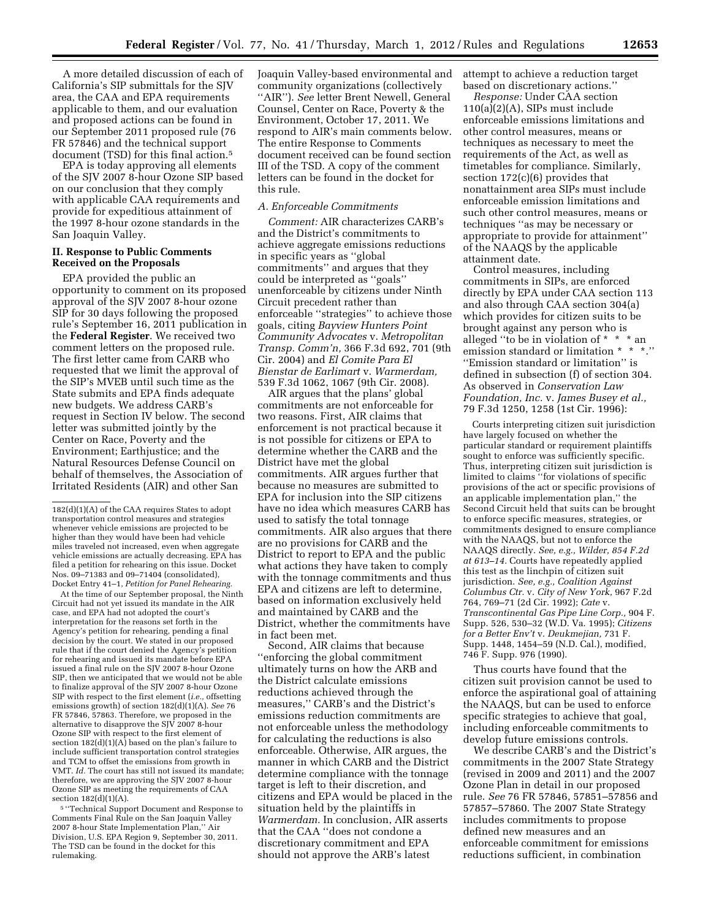A more detailed discussion of each of California's SIP submittals for the SJV area, the CAA and EPA requirements applicable to them, and our evaluation and proposed actions can be found in our September 2011 proposed rule (76 FR 57846) and the technical support document (TSD) for this final action.5

EPA is today approving all elements of the SJV 2007 8-hour Ozone SIP based on our conclusion that they comply with applicable CAA requirements and provide for expeditious attainment of the 1997 8-hour ozone standards in the San Joaquin Valley.

#### **II. Response to Public Comments Received on the Proposals**

EPA provided the public an opportunity to comment on its proposed approval of the SJV 2007 8-hour ozone SIP for 30 days following the proposed rule's September 16, 2011 publication in the **Federal Register**. We received two comment letters on the proposed rule. The first letter came from CARB who requested that we limit the approval of the SIP's MVEB until such time as the State submits and EPA finds adequate new budgets. We address CARB's request in Section IV below. The second letter was submitted jointly by the Center on Race, Poverty and the Environment; Earthjustice; and the Natural Resources Defense Council on behalf of themselves, the Association of Irritated Residents (AIR) and other San

At the time of our September proposal, the Ninth Circuit had not yet issued its mandate in the AIR case, and EPA had not adopted the court's interpretation for the reasons set forth in the Agency's petition for rehearing, pending a final decision by the court. We stated in our proposed rule that if the court denied the Agency's petition for rehearing and issued its mandate before EPA issued a final rule on the SJV 2007 8-hour Ozone SIP, then we anticipated that we would not be able to finalize approval of the SJV 2007 8-hour Ozone SIP with respect to the first element (*i.e.,* offsetting emissions growth) of section 182(d)(1)(A). *See* 76 FR 57846, 57863. Therefore, we proposed in the alternative to disapprove the SJV 2007 8-hour Ozone SIP with respect to the first element of section  $182(d)(1)(A)$  based on the plan's failure to include sufficient transportation control strategies and TCM to offset the emissions from growth in VMT. *Id.* The court has still not issued its mandate; therefore, we are approving the SJV 2007 8-hour Ozone SIP as meeting the requirements of CAA section 182(d)(1)(A).

5 ''Technical Support Document and Response to Comments Final Rule on the San Joaquin Valley 2007 8-hour State Implementation Plan,'' Air Division, U.S. EPA Region 9, September 30, 2011. The TSD can be found in the docket for this rulemaking.

Joaquin Valley-based environmental and community organizations (collectively ''AIR''). *See* letter Brent Newell, General Counsel, Center on Race, Poverty & the Environment, October 17, 2011. We respond to AIR's main comments below. The entire Response to Comments document received can be found section III of the TSD. A copy of the comment letters can be found in the docket for this rule.

### *A. Enforceable Commitments*

*Comment:* AIR characterizes CARB's and the District's commitments to achieve aggregate emissions reductions in specific years as ''global commitments'' and argues that they could be interpreted as ''goals'' unenforceable by citizens under Ninth Circuit precedent rather than enforceable ''strategies'' to achieve those goals, citing *Bayview Hunters Point Community Advocates* v. *Metropolitan Transp. Comm'n,* 366 F.3d 692, 701 (9th Cir. 2004) and *El Comite Para El Bienstar de Earlimart* v. *Warmerdam,*  539 F.3d 1062, 1067 (9th Cir. 2008).

AIR argues that the plans' global commitments are not enforceable for two reasons. First, AIR claims that enforcement is not practical because it is not possible for citizens or EPA to determine whether the CARB and the District have met the global commitments. AIR argues further that because no measures are submitted to EPA for inclusion into the SIP citizens have no idea which measures CARB has used to satisfy the total tonnage commitments. AIR also argues that there are no provisions for CARB and the District to report to EPA and the public what actions they have taken to comply with the tonnage commitments and thus EPA and citizens are left to determine, based on information exclusively held and maintained by CARB and the District, whether the commitments have in fact been met.

Second, AIR claims that because ''enforcing the global commitment ultimately turns on how the ARB and the District calculate emissions reductions achieved through the measures,'' CARB's and the District's emissions reduction commitments are not enforceable unless the methodology for calculating the reductions is also enforceable. Otherwise, AIR argues, the manner in which CARB and the District determine compliance with the tonnage target is left to their discretion, and citizens and EPA would be placed in the situation held by the plaintiffs in *Warmerdam.* In conclusion, AIR asserts that the CAA ''does not condone a discretionary commitment and EPA should not approve the ARB's latest

attempt to achieve a reduction target based on discretionary actions.''

*Response:* Under CAA section 110(a)(2)(A), SIPs must include enforceable emissions limitations and other control measures, means or techniques as necessary to meet the requirements of the Act, as well as timetables for compliance. Similarly, section 172(c)(6) provides that nonattainment area SIPs must include enforceable emission limitations and such other control measures, means or techniques ''as may be necessary or appropriate to provide for attainment'' of the NAAQS by the applicable attainment date.

Control measures, including commitments in SIPs, are enforced directly by EPA under CAA section 113 and also through CAA section 304(a) which provides for citizen suits to be brought against any person who is alleged ''to be in violation of \* \* \* an emission standard or limitation \* \* \*.'' ''Emission standard or limitation'' is defined in subsection (f) of section 304. As observed in *Conservation Law Foundation, Inc.* v. *James Busey et al.,*  79 F.3d 1250, 1258 (1st Cir. 1996):

Courts interpreting citizen suit jurisdiction have largely focused on whether the particular standard or requirement plaintiffs sought to enforce was sufficiently specific. Thus, interpreting citizen suit jurisdiction is limited to claims ''for violations of specific provisions of the act or specific provisions of an applicable implementation plan,'' the Second Circuit held that suits can be brought to enforce specific measures, strategies, or commitments designed to ensure compliance with the NAAQS, but not to enforce the NAAQS directly. *See, e.g., Wilder, 854 F.2d at 613–14.* Courts have repeatedly applied this test as the linchpin of citizen suit jurisdiction. *See, e.g., Coalition Against Columbus Ctr.* v. *City of New York,* 967 F.2d 764, 769–71 (2d Cir. 1992); *Cate* v. *Transcontinental Gas Pipe Line Corp.,* 904 F. Supp. 526, 530–32 (W.D. Va. 1995); *Citizens for a Better Env't* v. *Deukmejian,* 731 F. Supp. 1448, 1454–59 (N.D. Cal.), modified, 746 F. Supp. 976 (1990).

Thus courts have found that the citizen suit provision cannot be used to enforce the aspirational goal of attaining the NAAQS, but can be used to enforce specific strategies to achieve that goal, including enforceable commitments to develop future emissions controls.

We describe CARB's and the District's commitments in the 2007 State Strategy (revised in 2009 and 2011) and the 2007 Ozone Plan in detail in our proposed rule. *See* 76 FR 57846, 57851–57856 and 57857–57860. The 2007 State Strategy includes commitments to propose defined new measures and an enforceable commitment for emissions reductions sufficient, in combination

<sup>182(</sup>d)(1)(A) of the CAA requires States to adopt transportation control measures and strategies whenever vehicle emissions are projected to be higher than they would have been had vehicle miles traveled not increased, even when aggregate vehicle emissions are actually decreasing. EPA has filed a petition for rehearing on this issue. Docket Nos. 09–71383 and 09–71404 (consolidated), Docket Entry 41–1, *Petition for Panel Rehearing.*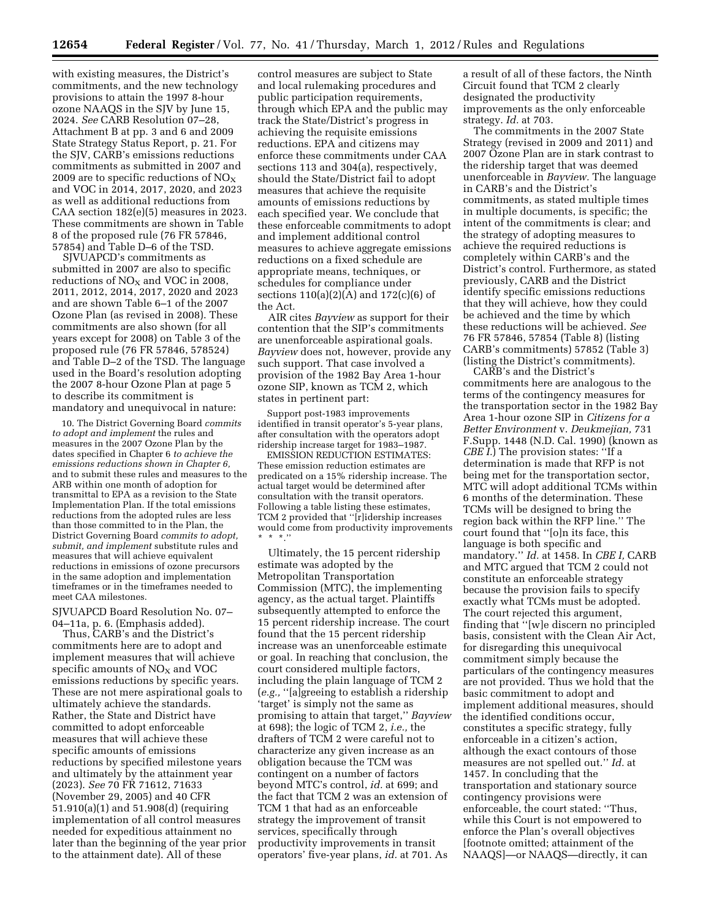with existing measures, the District's commitments, and the new technology provisions to attain the 1997 8-hour ozone NAAQS in the SJV by June 15, 2024. *See* CARB Resolution 07–28, Attachment B at pp. 3 and 6 and 2009 State Strategy Status Report, p. 21. For the SJV, CARB's emissions reductions commitments as submitted in 2007 and 2009 are to specific reductions of  $NO<sub>x</sub>$ and VOC in 2014, 2017, 2020, and 2023 as well as additional reductions from CAA section 182(e)(5) measures in 2023. These commitments are shown in Table 8 of the proposed rule (76 FR 57846, 57854) and Table D–6 of the TSD.

SJVUAPCD's commitments as submitted in 2007 are also to specific reductions of  $NO<sub>X</sub>$  and VOC in 2008, 2011, 2012, 2014, 2017, 2020 and 2023 and are shown Table 6–1 of the 2007 Ozone Plan (as revised in 2008). These commitments are also shown (for all years except for 2008) on Table 3 of the proposed rule (76 FR 57846, 578524) and Table D–2 of the TSD. The language used in the Board's resolution adopting the 2007 8-hour Ozone Plan at page 5 to describe its commitment is mandatory and unequivocal in nature:

10. The District Governing Board *commits to adopt and implement* the rules and measures in the 2007 Ozone Plan by the dates specified in Chapter 6 *to achieve the emissions reductions shown in Chapter 6,*  and to submit these rules and measures to the ARB within one month of adoption for transmittal to EPA as a revision to the State Implementation Plan. If the total emissions reductions from the adopted rules are less than those committed to in the Plan, the District Governing Board *commits to adopt, submit, and implement* substitute rules and measures that will achieve equivalent reductions in emissions of ozone precursors in the same adoption and implementation timeframes or in the timeframes needed to meet CAA milestones.

SJVUAPCD Board Resolution No. 07– 04–11a, p. 6. (Emphasis added).

Thus, CARB's and the District's commitments here are to adopt and implement measures that will achieve specific amounts of  $NO<sub>X</sub>$  and  $VOC$ emissions reductions by specific years. These are not mere aspirational goals to ultimately achieve the standards. Rather, the State and District have committed to adopt enforceable measures that will achieve these specific amounts of emissions reductions by specified milestone years and ultimately by the attainment year (2023). *See* 70 FR 71612, 71633 (November 29, 2005) and 40 CFR 51.910(a)(1) and 51.908(d) (requiring implementation of all control measures needed for expeditious attainment no later than the beginning of the year prior to the attainment date). All of these

control measures are subject to State and local rulemaking procedures and public participation requirements, through which EPA and the public may track the State/District's progress in achieving the requisite emissions reductions. EPA and citizens may enforce these commitments under CAA sections 113 and 304(a), respectively, should the State/District fail to adopt measures that achieve the requisite amounts of emissions reductions by each specified year. We conclude that these enforceable commitments to adopt and implement additional control measures to achieve aggregate emissions reductions on a fixed schedule are appropriate means, techniques, or schedules for compliance under sections 110(a)(2)(A) and 172(c)(6) of the Act.

AIR cites *Bayview* as support for their contention that the SIP's commitments are unenforceable aspirational goals. *Bayview* does not, however, provide any such support. That case involved a provision of the 1982 Bay Area 1-hour ozone SIP, known as TCM 2, which states in pertinent part:

Support post-1983 improvements identified in transit operator's 5-year plans, after consultation with the operators adopt ridership increase target for 1983–1987.

EMISSION REDUCTION ESTIMATES: These emission reduction estimates are predicated on a 15% ridership increase. The actual target would be determined after consultation with the transit operators. Following a table listing these estimates, TCM 2 provided that ''[r]idership increases would come from productivity improvements \* \* \*.''

Ultimately, the 15 percent ridership estimate was adopted by the Metropolitan Transportation Commission (MTC), the implementing agency, as the actual target. Plaintiffs subsequently attempted to enforce the 15 percent ridership increase. The court found that the 15 percent ridership increase was an unenforceable estimate or goal. In reaching that conclusion, the court considered multiple factors, including the plain language of TCM 2 (*e.g.,* ''[a]greeing to establish a ridership 'target' is simply not the same as promising to attain that target,'' *Bayview*  at 698); the logic of TCM 2, *i.e.,* the drafters of TCM 2 were careful not to characterize any given increase as an obligation because the TCM was contingent on a number of factors beyond MTC's control, *id.* at 699; and the fact that TCM 2 was an extension of TCM 1 that had as an enforceable strategy the improvement of transit services, specifically through productivity improvements in transit operators' five-year plans, *id.* at 701. As

a result of all of these factors, the Ninth Circuit found that TCM 2 clearly designated the productivity improvements as the only enforceable strategy. *Id.* at 703.

The commitments in the 2007 State Strategy (revised in 2009 and 2011) and 2007 Ozone Plan are in stark contrast to the ridership target that was deemed unenforceable in *Bayview.* The language in CARB's and the District's commitments, as stated multiple times in multiple documents, is specific; the intent of the commitments is clear; and the strategy of adopting measures to achieve the required reductions is completely within CARB's and the District's control. Furthermore, as stated previously, CARB and the District identify specific emissions reductions that they will achieve, how they could be achieved and the time by which these reductions will be achieved. *See*  76 FR 57846, 57854 (Table 8) (listing CARB's commitments) 57852 (Table 3) (listing the District's commitments).

CARB's and the District's commitments here are analogous to the terms of the contingency measures for the transportation sector in the 1982 Bay Area 1-hour ozone SIP in *Citizens for a Better Environment* v. *Deukmejian,* 731 F.Supp. 1448 (N.D. Cal. 1990) (known as *CBE I.*) The provision states: ''If a determination is made that RFP is not being met for the transportation sector, MTC will adopt additional TCMs within 6 months of the determination. These TCMs will be designed to bring the region back within the RFP line.'' The court found that ''[o]n its face, this language is both specific and mandatory.'' *Id.* at 1458. In *CBE I,* CARB and MTC argued that TCM 2 could not constitute an enforceable strategy because the provision fails to specify exactly what TCMs must be adopted. The court rejected this argument, finding that ''[w]e discern no principled basis, consistent with the Clean Air Act, for disregarding this unequivocal commitment simply because the particulars of the contingency measures are not provided. Thus we hold that the basic commitment to adopt and implement additional measures, should the identified conditions occur, constitutes a specific strategy, fully enforceable in a citizen's action, although the exact contours of those measures are not spelled out.'' *Id.* at 1457. In concluding that the transportation and stationary source contingency provisions were enforceable, the court stated: ''Thus, while this Court is not empowered to enforce the Plan's overall objectives [footnote omitted; attainment of the NAAQS]—or NAAQS—directly, it can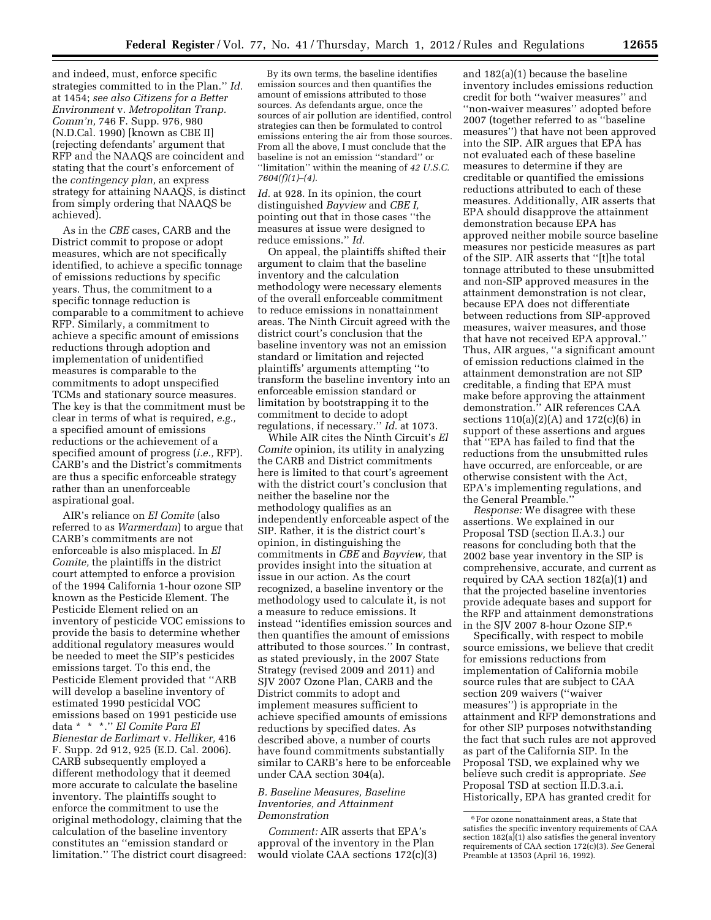and indeed, must, enforce specific strategies committed to in the Plan.'' *Id.*  at 1454; *see also Citizens for a Better Environment* v. *Metropolitan Tranp. Comm'n,* 746 F. Supp. 976, 980 (N.D.Cal. 1990) [known as CBE II] (rejecting defendants' argument that RFP and the NAAQS are coincident and stating that the court's enforcement of the *contingency plan,* an express strategy for attaining NAAQS, is distinct from simply ordering that NAAQS be achieved).

As in the *CBE* cases, CARB and the District commit to propose or adopt measures, which are not specifically identified, to achieve a specific tonnage of emissions reductions by specific years. Thus, the commitment to a specific tonnage reduction is comparable to a commitment to achieve RFP. Similarly, a commitment to achieve a specific amount of emissions reductions through adoption and implementation of unidentified measures is comparable to the commitments to adopt unspecified TCMs and stationary source measures. The key is that the commitment must be clear in terms of what is required, *e.g.,*  a specified amount of emissions reductions or the achievement of a specified amount of progress (*i.e.,* RFP). CARB's and the District's commitments are thus a specific enforceable strategy rather than an unenforceable aspirational goal.

AIR's reliance on *El Comite* (also referred to as *Warmerdam*) to argue that CARB's commitments are not enforceable is also misplaced. In *El Comite,* the plaintiffs in the district court attempted to enforce a provision of the 1994 California 1-hour ozone SIP known as the Pesticide Element. The Pesticide Element relied on an inventory of pesticide VOC emissions to provide the basis to determine whether additional regulatory measures would be needed to meet the SIP's pesticides emissions target. To this end, the Pesticide Element provided that ''ARB will develop a baseline inventory of estimated 1990 pesticidal VOC emissions based on 1991 pesticide use data \* \* \*.'' *El Comite Para El Bienestar de Earlimart* v. *Helliker,* 416 F. Supp. 2d 912, 925 (E.D. Cal. 2006). CARB subsequently employed a different methodology that it deemed more accurate to calculate the baseline inventory. The plaintiffs sought to enforce the commitment to use the original methodology, claiming that the calculation of the baseline inventory constitutes an ''emission standard or limitation.'' The district court disagreed:

By its own terms, the baseline identifies emission sources and then quantifies the amount of emissions attributed to those sources. As defendants argue, once the sources of air pollution are identified, control strategies can then be formulated to control emissions entering the air from those sources. From all the above, I must conclude that the baseline is not an emission ''standard'' or ''limitation'' within the meaning of *42 U.S.C. 7604(f)(1)–(4).* 

*Id.* at 928. In its opinion, the court distinguished *Bayview* and *CBE I,*  pointing out that in those cases ''the measures at issue were designed to reduce emissions.'' *Id.* 

On appeal, the plaintiffs shifted their argument to claim that the baseline inventory and the calculation methodology were necessary elements of the overall enforceable commitment to reduce emissions in nonattainment areas. The Ninth Circuit agreed with the district court's conclusion that the baseline inventory was not an emission standard or limitation and rejected plaintiffs' arguments attempting ''to transform the baseline inventory into an enforceable emission standard or limitation by bootstrapping it to the commitment to decide to adopt regulations, if necessary.'' *Id.* at 1073.

While AIR cites the Ninth Circuit's *El Comite* opinion, its utility in analyzing the CARB and District commitments here is limited to that court's agreement with the district court's conclusion that neither the baseline nor the methodology qualifies as an independently enforceable aspect of the SIP. Rather, it is the district court's opinion, in distinguishing the commitments in *CBE* and *Bayview,* that provides insight into the situation at issue in our action. As the court recognized, a baseline inventory or the methodology used to calculate it, is not a measure to reduce emissions. It instead ''identifies emission sources and then quantifies the amount of emissions attributed to those sources.'' In contrast, as stated previously, in the 2007 State Strategy (revised 2009 and 2011) and SJV 2007 Ozone Plan, CARB and the District commits to adopt and implement measures sufficient to achieve specified amounts of emissions reductions by specified dates. As described above, a number of courts have found commitments substantially similar to CARB's here to be enforceable under CAA section 304(a).

### *B. Baseline Measures, Baseline Inventories, and Attainment Demonstration*

*Comment:* AIR asserts that EPA's approval of the inventory in the Plan would violate CAA sections 172(c)(3)

and 182(a)(1) because the baseline inventory includes emissions reduction credit for both ''waiver measures'' and ''non-waiver measures'' adopted before 2007 (together referred to as ''baseline measures'') that have not been approved into the SIP. AIR argues that EPA has not evaluated each of these baseline measures to determine if they are creditable or quantified the emissions reductions attributed to each of these measures. Additionally, AIR asserts that EPA should disapprove the attainment demonstration because EPA has approved neither mobile source baseline measures nor pesticide measures as part of the SIP. AIR asserts that ''[t]he total tonnage attributed to these unsubmitted and non-SIP approved measures in the attainment demonstration is not clear, because EPA does not differentiate between reductions from SIP-approved measures, waiver measures, and those that have not received EPA approval.'' Thus, AIR argues, ''a significant amount of emission reductions claimed in the attainment demonstration are not SIP creditable, a finding that EPA must make before approving the attainment demonstration.'' AIR references CAA sections 110(a)(2)(A) and 172(c)(6) in support of these assertions and argues that ''EPA has failed to find that the reductions from the unsubmitted rules have occurred, are enforceable, or are otherwise consistent with the Act, EPA's implementing regulations, and the General Preamble.''

*Response:* We disagree with these assertions. We explained in our Proposal TSD (section II.A.3.) our reasons for concluding both that the 2002 base year inventory in the SIP is comprehensive, accurate, and current as required by CAA section 182(a)(1) and that the projected baseline inventories provide adequate bases and support for the RFP and attainment demonstrations in the SJV 2007 8-hour Ozone SIP.6

Specifically, with respect to mobile source emissions, we believe that credit for emissions reductions from implementation of California mobile source rules that are subject to CAA section 209 waivers (''waiver measures'') is appropriate in the attainment and RFP demonstrations and for other SIP purposes notwithstanding the fact that such rules are not approved as part of the California SIP. In the Proposal TSD, we explained why we believe such credit is appropriate. *See*  Proposal TSD at section II.D.3.a.i. Historically, EPA has granted credit for

<sup>6</sup>For ozone nonattainment areas, a State that satisfies the specific inventory requirements of CAA section  $182(a)(1)$  also satisfies the general inventory requirements of CAA section 172(c)(3). *See* General Preamble at 13503 (April 16, 1992).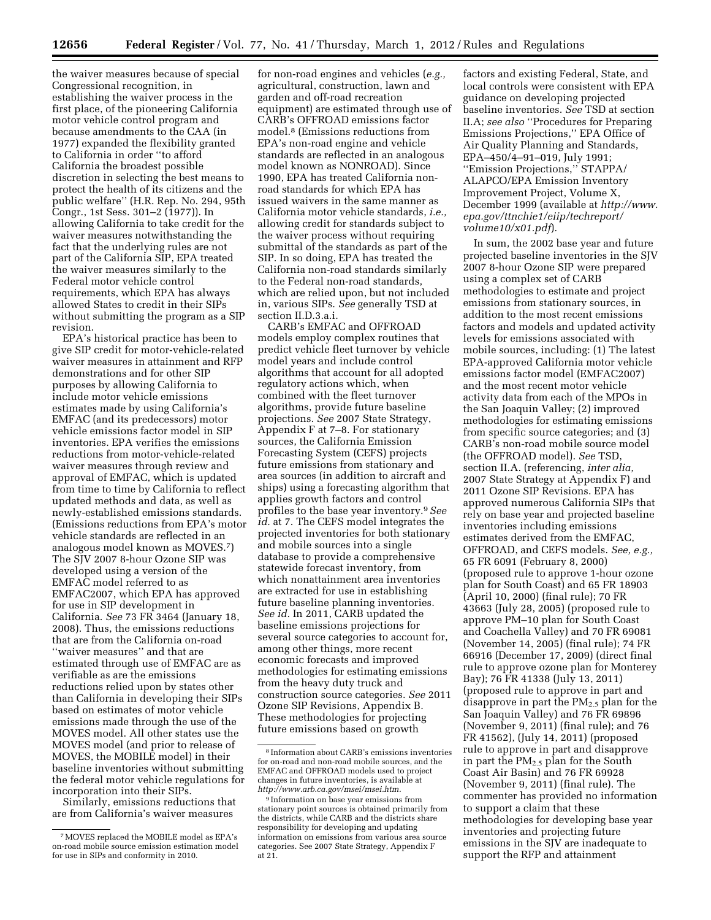the waiver measures because of special Congressional recognition, in establishing the waiver process in the first place, of the pioneering California motor vehicle control program and because amendments to the CAA (in 1977) expanded the flexibility granted to California in order ''to afford California the broadest possible discretion in selecting the best means to protect the health of its citizens and the public welfare'' (H.R. Rep. No. 294, 95th Congr., 1st Sess. 301–2 (1977)). In allowing California to take credit for the waiver measures notwithstanding the fact that the underlying rules are not part of the California SIP, EPA treated the waiver measures similarly to the Federal motor vehicle control requirements, which EPA has always allowed States to credit in their SIPs without submitting the program as a SIP revision.

EPA's historical practice has been to give SIP credit for motor-vehicle-related waiver measures in attainment and RFP demonstrations and for other SIP purposes by allowing California to include motor vehicle emissions estimates made by using California's EMFAC (and its predecessors) motor vehicle emissions factor model in SIP inventories. EPA verifies the emissions reductions from motor-vehicle-related waiver measures through review and approval of EMFAC, which is updated from time to time by California to reflect updated methods and data, as well as newly-established emissions standards. (Emissions reductions from EPA's motor vehicle standards are reflected in an analogous model known as MOVES.7) The SJV 2007 8-hour Ozone SIP was developed using a version of the EMFAC model referred to as EMFAC2007, which EPA has approved for use in SIP development in California. *See* 73 FR 3464 (January 18, 2008). Thus, the emissions reductions that are from the California on-road ''waiver measures'' and that are estimated through use of EMFAC are as verifiable as are the emissions reductions relied upon by states other than California in developing their SIPs based on estimates of motor vehicle emissions made through the use of the MOVES model. All other states use the MOVES model (and prior to release of MOVES, the MOBILE model) in their baseline inventories without submitting the federal motor vehicle regulations for incorporation into their SIPs.

Similarly, emissions reductions that are from California's waiver measures

for non-road engines and vehicles (*e.g.,*  agricultural, construction, lawn and garden and off-road recreation equipment) are estimated through use of CARB's OFFROAD emissions factor model.8 (Emissions reductions from EPA's non-road engine and vehicle standards are reflected in an analogous model known as NONROAD). Since 1990, EPA has treated California nonroad standards for which EPA has issued waivers in the same manner as California motor vehicle standards, *i.e.,*  allowing credit for standards subject to the waiver process without requiring submittal of the standards as part of the SIP. In so doing, EPA has treated the California non-road standards similarly to the Federal non-road standards, which are relied upon, but not included in, various SIPs. *See* generally TSD at section II.D.3.a.i.

CARB's EMFAC and OFFROAD models employ complex routines that predict vehicle fleet turnover by vehicle model years and include control algorithms that account for all adopted regulatory actions which, when combined with the fleet turnover algorithms, provide future baseline projections. *See* 2007 State Strategy, Appendix F at 7–8. For stationary sources, the California Emission Forecasting System (CEFS) projects future emissions from stationary and area sources (in addition to aircraft and ships) using a forecasting algorithm that applies growth factors and control profiles to the base year inventory.9*See*  id. at 7. The CEFS model integrates the projected inventories for both stationary and mobile sources into a single database to provide a comprehensive statewide forecast inventory, from which nonattainment area inventories are extracted for use in establishing future baseline planning inventories. *See id.* In 2011, CARB updated the baseline emissions projections for several source categories to account for, among other things, more recent economic forecasts and improved methodologies for estimating emissions from the heavy duty truck and construction source categories. *See* 2011 Ozone SIP Revisions, Appendix B. These methodologies for projecting future emissions based on growth

factors and existing Federal, State, and local controls were consistent with EPA guidance on developing projected baseline inventories. *See* TSD at section II.A; *see also* ''Procedures for Preparing Emissions Projections,'' EPA Office of Air Quality Planning and Standards, EPA–450/4–91–019, July 1991; ''Emission Projections,'' STAPPA/ ALAPCO/EPA Emission Inventory Improvement Project, Volume X, December 1999 (available at *[http://www.](http://www.epa.gov/ttnchie1/eiip/techreport/volume10/x01.pdf) [epa.gov/ttnchie1/eiip/techreport/](http://www.epa.gov/ttnchie1/eiip/techreport/volume10/x01.pdf) [volume10/x01.pdf](http://www.epa.gov/ttnchie1/eiip/techreport/volume10/x01.pdf)*).

In sum, the 2002 base year and future projected baseline inventories in the SJV 2007 8-hour Ozone SIP were prepared using a complex set of CARB methodologies to estimate and project emissions from stationary sources, in addition to the most recent emissions factors and models and updated activity levels for emissions associated with mobile sources, including: (1) The latest EPA-approved California motor vehicle emissions factor model (EMFAC2007) and the most recent motor vehicle activity data from each of the MPOs in the San Joaquin Valley; (2) improved methodologies for estimating emissions from specific source categories; and (3) CARB's non-road mobile source model (the OFFROAD model). *See* TSD, section II.A. (referencing, *inter alia,*  2007 State Strategy at Appendix F) and 2011 Ozone SIP Revisions. EPA has approved numerous California SIPs that rely on base year and projected baseline inventories including emissions estimates derived from the EMFAC, OFFROAD, and CEFS models. *See, e.g.,*  65 FR 6091 (February 8, 2000) (proposed rule to approve 1-hour ozone plan for South Coast) and 65 FR 18903 (April 10, 2000) (final rule); 70 FR 43663 (July 28, 2005) (proposed rule to approve PM–10 plan for South Coast and Coachella Valley) and 70 FR 69081 (November 14, 2005) (final rule); 74 FR 66916 (December 17, 2009) (direct final rule to approve ozone plan for Monterey Bay); 76 FR 41338 (July 13, 2011) (proposed rule to approve in part and disapprove in part the  $PM_{2.5}$  plan for the San Joaquin Valley) and 76 FR 69896 (November 9, 2011) (final rule); and 76 FR 41562), (July 14, 2011) (proposed rule to approve in part and disapprove in part the  $PM<sub>2.5</sub>$  plan for the South Coast Air Basin) and 76 FR 69928 (November 9, 2011) (final rule). The commenter has provided no information to support a claim that these methodologies for developing base year inventories and projecting future emissions in the SJV are inadequate to support the RFP and attainment

<sup>7</sup>MOVES replaced the MOBILE model as EPA's on-road mobile source emission estimation model for use in SIPs and conformity in 2010.

<sup>8</sup> Information about CARB's emissions inventories for on-road and non-road mobile sources, and the EMFAC and OFFROAD models used to project changes in future inventories, is available at *[http://www.arb.ca.gov/msei/msei.htm.](http://www.arb.ca.gov/msei/msei.htm)* 

<sup>9</sup> Information on base year emissions from stationary point sources is obtained primarily from the districts, while CARB and the districts share responsibility for developing and updating information on emissions from various area source categories. See 2007 State Strategy, Appendix F at 21.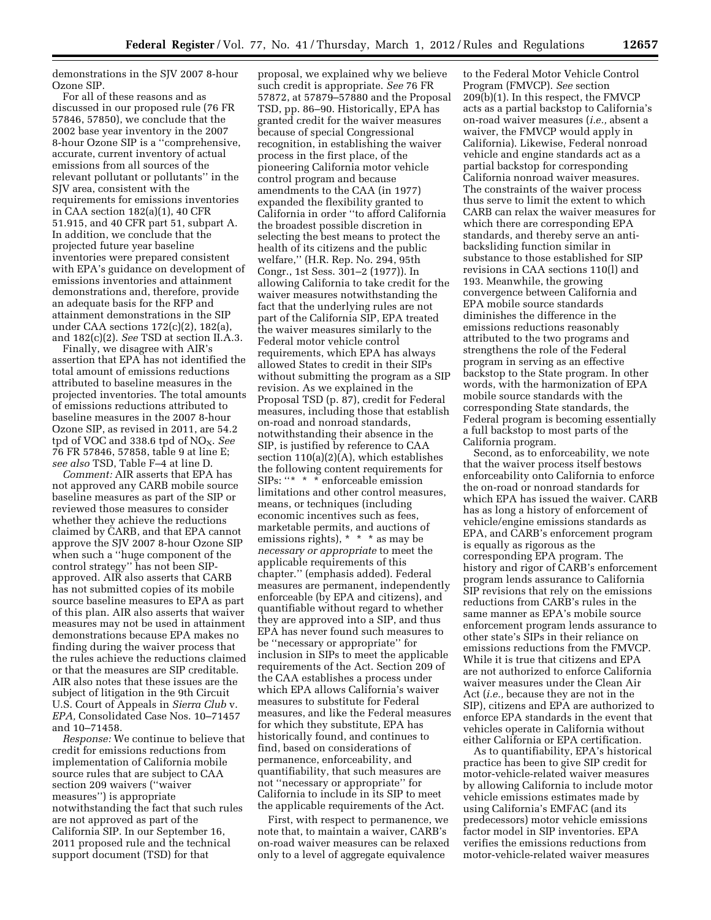demonstrations in the SJV 2007 8-hour Ozone SIP.

For all of these reasons and as discussed in our proposed rule (76 FR 57846, 57850), we conclude that the 2002 base year inventory in the 2007 8-hour Ozone SIP is a ''comprehensive, accurate, current inventory of actual emissions from all sources of the relevant pollutant or pollutants'' in the SJV area, consistent with the requirements for emissions inventories in CAA section 182(a)(1), 40 CFR 51.915, and 40 CFR part 51, subpart A. In addition, we conclude that the projected future year baseline inventories were prepared consistent with EPA's guidance on development of emissions inventories and attainment demonstrations and, therefore, provide an adequate basis for the RFP and attainment demonstrations in the SIP under CAA sections 172(c)(2), 182(a), and 182(c)(2). *See* TSD at section II.A.3.

Finally, we disagree with AIR's assertion that EPA has not identified the total amount of emissions reductions attributed to baseline measures in the projected inventories. The total amounts of emissions reductions attributed to baseline measures in the 2007 8-hour Ozone SIP, as revised in 2011, are 54.2 tpd of VOC and 338.6 tpd of NO<sub>X</sub>. See 76 FR 57846, 57858, table 9 at line E; *see also* TSD, Table F–4 at line D.

*Comment:* AIR asserts that EPA has not approved any CARB mobile source baseline measures as part of the SIP or reviewed those measures to consider whether they achieve the reductions claimed by CARB, and that EPA cannot approve the SJV 2007 8-hour Ozone SIP when such a ''huge component of the control strategy'' has not been SIPapproved. AIR also asserts that CARB has not submitted copies of its mobile source baseline measures to EPA as part of this plan. AIR also asserts that waiver measures may not be used in attainment demonstrations because EPA makes no finding during the waiver process that the rules achieve the reductions claimed or that the measures are SIP creditable. AIR also notes that these issues are the subject of litigation in the 9th Circuit U.S. Court of Appeals in *Sierra Club* v. *EPA,* Consolidated Case Nos. 10–71457 and 10–71458.

*Response:* We continue to believe that credit for emissions reductions from implementation of California mobile source rules that are subject to CAA section 209 waivers (''waiver measures'') is appropriate notwithstanding the fact that such rules are not approved as part of the California SIP. In our September 16, 2011 proposed rule and the technical support document (TSD) for that

proposal, we explained why we believe such credit is appropriate. *See* 76 FR 57872, at 57879–57880 and the Proposal TSD, pp. 86–90. Historically, EPA has granted credit for the waiver measures because of special Congressional recognition, in establishing the waiver process in the first place, of the pioneering California motor vehicle control program and because amendments to the CAA (in 1977) expanded the flexibility granted to California in order ''to afford California the broadest possible discretion in selecting the best means to protect the health of its citizens and the public welfare,'' (H.R. Rep. No. 294, 95th Congr., 1st Sess. 301–2 (1977)). In allowing California to take credit for the waiver measures notwithstanding the fact that the underlying rules are not part of the California SIP, EPA treated the waiver measures similarly to the Federal motor vehicle control requirements, which EPA has always allowed States to credit in their SIPs without submitting the program as a SIP revision. As we explained in the Proposal TSD (p. 87), credit for Federal measures, including those that establish on-road and nonroad standards, notwithstanding their absence in the SIP, is justified by reference to CAA section 110(a)(2)(A), which establishes the following content requirements for SIPs: ''\* \* \* enforceable emission limitations and other control measures, means, or techniques (including economic incentives such as fees, marketable permits, and auctions of emissions rights), \* \* \* as may be *necessary or appropriate* to meet the applicable requirements of this chapter.'' (emphasis added). Federal measures are permanent, independently enforceable (by EPA and citizens), and quantifiable without regard to whether they are approved into a SIP, and thus EPA has never found such measures to be ''necessary or appropriate'' for inclusion in SIPs to meet the applicable requirements of the Act. Section 209 of the CAA establishes a process under which EPA allows California's waiver measures to substitute for Federal measures, and like the Federal measures for which they substitute, EPA has historically found, and continues to find, based on considerations of permanence, enforceability, and quantifiability, that such measures are not ''necessary or appropriate'' for California to include in its SIP to meet the applicable requirements of the Act.

First, with respect to permanence, we note that, to maintain a waiver, CARB's on-road waiver measures can be relaxed only to a level of aggregate equivalence

to the Federal Motor Vehicle Control Program (FMVCP). *See* section 209(b)(1). In this respect, the FMVCP acts as a partial backstop to California's on-road waiver measures (*i.e.,* absent a waiver, the FMVCP would apply in California). Likewise, Federal nonroad vehicle and engine standards act as a partial backstop for corresponding California nonroad waiver measures. The constraints of the waiver process thus serve to limit the extent to which CARB can relax the waiver measures for which there are corresponding EPA standards, and thereby serve an antibacksliding function similar in substance to those established for SIP revisions in CAA sections 110(l) and 193. Meanwhile, the growing convergence between California and EPA mobile source standards diminishes the difference in the emissions reductions reasonably attributed to the two programs and strengthens the role of the Federal program in serving as an effective backstop to the State program. In other words, with the harmonization of EPA mobile source standards with the corresponding State standards, the Federal program is becoming essentially a full backstop to most parts of the California program.

Second, as to enforceability, we note that the waiver process itself bestows enforceability onto California to enforce the on-road or nonroad standards for which EPA has issued the waiver. CARB has as long a history of enforcement of vehicle/engine emissions standards as EPA, and CARB's enforcement program is equally as rigorous as the corresponding EPA program. The history and rigor of CARB's enforcement program lends assurance to California SIP revisions that rely on the emissions reductions from CARB's rules in the same manner as EPA's mobile source enforcement program lends assurance to other state's SIPs in their reliance on emissions reductions from the FMVCP. While it is true that citizens and EPA are not authorized to enforce California waiver measures under the Clean Air Act (*i.e.,* because they are not in the SIP), citizens and EPA are authorized to enforce EPA standards in the event that vehicles operate in California without either California or EPA certification.

As to quantifiability, EPA's historical practice has been to give SIP credit for motor-vehicle-related waiver measures by allowing California to include motor vehicle emissions estimates made by using California's EMFAC (and its predecessors) motor vehicle emissions factor model in SIP inventories. EPA verifies the emissions reductions from motor-vehicle-related waiver measures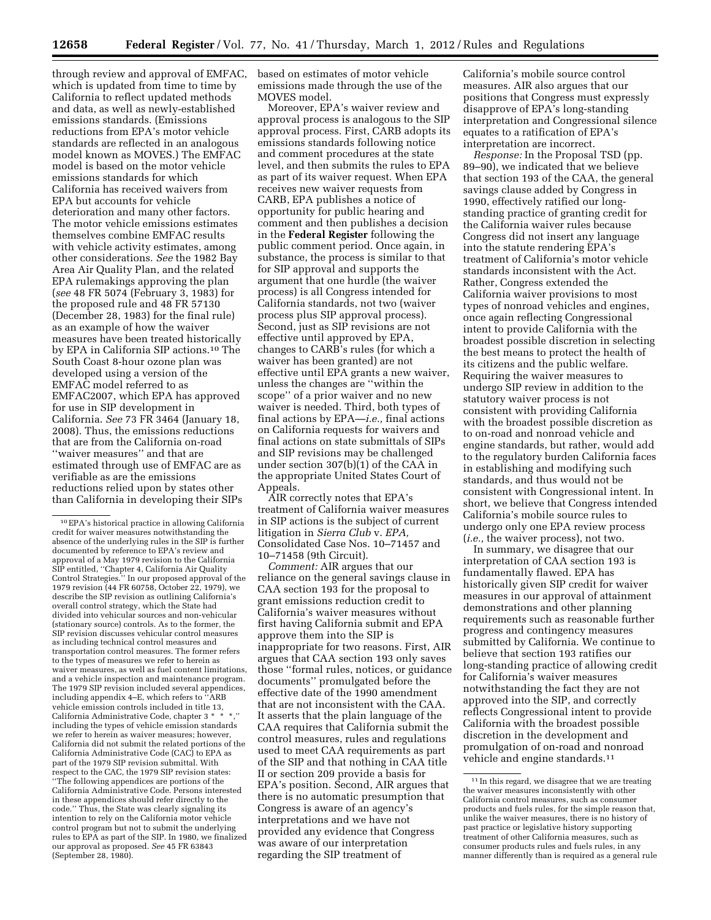through review and approval of EMFAC, which is updated from time to time by California to reflect updated methods and data, as well as newly-established emissions standards. (Emissions reductions from EPA's motor vehicle standards are reflected in an analogous model known as MOVES.) The EMFAC model is based on the motor vehicle emissions standards for which California has received waivers from EPA but accounts for vehicle deterioration and many other factors. The motor vehicle emissions estimates themselves combine EMFAC results with vehicle activity estimates, among other considerations. *See* the 1982 Bay Area Air Quality Plan, and the related EPA rulemakings approving the plan (*see* 48 FR 5074 (February 3, 1983) for the proposed rule and 48 FR 57130 (December 28, 1983) for the final rule) as an example of how the waiver measures have been treated historically by EPA in California SIP actions.10 The South Coast 8-hour ozone plan was developed using a version of the EMFAC model referred to as EMFAC2007, which EPA has approved for use in SIP development in California. *See* 73 FR 3464 (January 18, 2008). Thus, the emissions reductions that are from the California on-road ''waiver measures'' and that are estimated through use of EMFAC are as verifiable as are the emissions reductions relied upon by states other than California in developing their SIPs

based on estimates of motor vehicle emissions made through the use of the MOVES model.

Moreover, EPA's waiver review and approval process is analogous to the SIP approval process. First, CARB adopts its emissions standards following notice and comment procedures at the state level, and then submits the rules to EPA as part of its waiver request. When EPA receives new waiver requests from CARB, EPA publishes a notice of opportunity for public hearing and comment and then publishes a decision in the **Federal Register** following the public comment period. Once again, in substance, the process is similar to that for SIP approval and supports the argument that one hurdle (the waiver process) is all Congress intended for California standards, not two (waiver process plus SIP approval process). Second, just as SIP revisions are not effective until approved by EPA, changes to CARB's rules (for which a waiver has been granted) are not effective until EPA grants a new waiver, unless the changes are ''within the scope'' of a prior waiver and no new waiver is needed. Third, both types of final actions by EPA—*i.e.,* final actions on California requests for waivers and final actions on state submittals of SIPs and SIP revisions may be challenged under section 307(b)(1) of the CAA in the appropriate United States Court of Appeals.

AIR correctly notes that EPA's treatment of California waiver measures in SIP actions is the subject of current litigation in *Sierra Club* v. *EPA,*  Consolidated Case Nos. 10–71457 and 10–71458 (9th Circuit).

*Comment:* AIR argues that our reliance on the general savings clause in CAA section 193 for the proposal to grant emissions reduction credit to California's waiver measures without first having California submit and EPA approve them into the SIP is inappropriate for two reasons. First, AIR argues that CAA section 193 only saves those ''formal rules, notices, or guidance documents'' promulgated before the effective date of the 1990 amendment that are not inconsistent with the CAA. It asserts that the plain language of the CAA requires that California submit the control measures, rules and regulations used to meet CAA requirements as part of the SIP and that nothing in CAA title II or section 209 provide a basis for EPA's position. Second, AIR argues that there is no automatic presumption that Congress is aware of an agency's interpretations and we have not provided any evidence that Congress was aware of our interpretation regarding the SIP treatment of

California's mobile source control measures. AIR also argues that our positions that Congress must expressly disapprove of EPA's long-standing interpretation and Congressional silence equates to a ratification of EPA's interpretation are incorrect.

*Response:* In the Proposal TSD (pp. 89–90), we indicated that we believe that section 193 of the CAA, the general savings clause added by Congress in 1990, effectively ratified our longstanding practice of granting credit for the California waiver rules because Congress did not insert any language into the statute rendering EPA's treatment of California's motor vehicle standards inconsistent with the Act. Rather, Congress extended the California waiver provisions to most types of nonroad vehicles and engines, once again reflecting Congressional intent to provide California with the broadest possible discretion in selecting the best means to protect the health of its citizens and the public welfare. Requiring the waiver measures to undergo SIP review in addition to the statutory waiver process is not consistent with providing California with the broadest possible discretion as to on-road and nonroad vehicle and engine standards, but rather, would add to the regulatory burden California faces in establishing and modifying such standards, and thus would not be consistent with Congressional intent. In short, we believe that Congress intended California's mobile source rules to undergo only one EPA review process (*i.e.,* the waiver process), not two.

In summary, we disagree that our interpretation of CAA section 193 is fundamentally flawed. EPA has historically given SIP credit for waiver measures in our approval of attainment demonstrations and other planning requirements such as reasonable further progress and contingency measures submitted by California. We continue to believe that section 193 ratifies our long-standing practice of allowing credit for California's waiver measures notwithstanding the fact they are not approved into the SIP, and correctly reflects Congressional intent to provide California with the broadest possible discretion in the development and promulgation of on-road and nonroad vehicle and engine standards.<sup>11</sup>

<sup>10</sup>EPA's historical practice in allowing California credit for waiver measures notwithstanding the absence of the underlying rules in the SIP is further documented by reference to EPA's review and approval of a May 1979 revision to the California SIP entitled, ''Chapter 4, California Air Quality Control Strategies.'' In our proposed approval of the 1979 revision (44 FR 60758, October 22, 1979), we describe the SIP revision as outlining California's overall control strategy, which the State had divided into vehicular sources and non-vehicular (stationary source) controls. As to the former, the SIP revision discusses vehicular control measures as including technical control measures and transportation control measures. The former refers to the types of measures we refer to herein as waiver measures, as well as fuel content limitations, and a vehicle inspection and maintenance program. The 1979 SIP revision included several appendices, including appendix 4–E, which refers to ''ARB The utual appearance  $\frac{1}{2}$ ,  $\frac{1}{2}$ ,  $\frac{1}{2}$  we hicle emission controls included in title 13, California Administrative Code, chapter 3 \* including the types of vehicle emission standards we refer to herein as waiver measures; however, California did not submit the related portions of the California Administrative Code (CAC) to EPA as part of the 1979 SIP revision submittal. With respect to the CAC, the 1979 SIP revision states: ''The following appendices are portions of the California Administrative Code. Persons interested in these appendices should refer directly to the code.'' Thus, the State was clearly signaling its intention to rely on the California motor vehicle control program but not to submit the underlying rules to EPA as part of the SIP. In 1980, we finalized our approval as proposed. *See* 45 FR 63843 (September 28, 1980).

<sup>&</sup>lt;sup>11</sup> In this regard, we disagree that we are treating the waiver measures inconsistently with other California control measures, such as consumer products and fuels rules, for the simple reason that, unlike the waiver measures, there is no history of past practice or legislative history supporting treatment of other California measures, such as consumer products rules and fuels rules, in any manner differently than is required as a general rule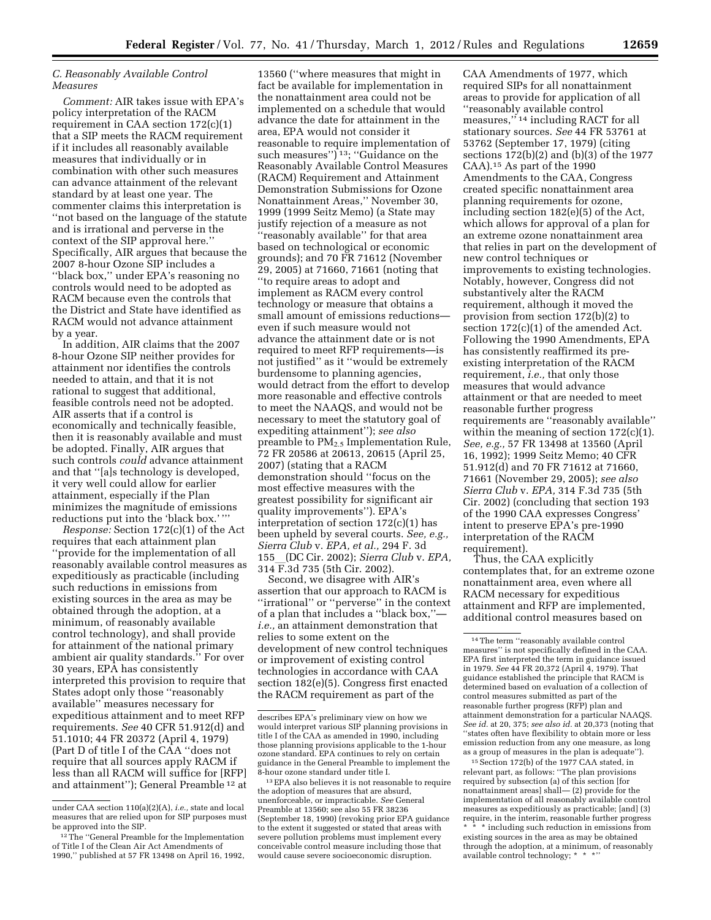# *C. Reasonably Available Control Measures*

*Comment:* AIR takes issue with EPA's policy interpretation of the RACM requirement in CAA section 172(c)(1) that a SIP meets the RACM requirement if it includes all reasonably available measures that individually or in combination with other such measures can advance attainment of the relevant standard by at least one year. The commenter claims this interpretation is ''not based on the language of the statute and is irrational and perverse in the context of the SIP approval here.'' Specifically, AIR argues that because the 2007 8-hour Ozone SIP includes a ''black box,'' under EPA's reasoning no controls would need to be adopted as RACM because even the controls that the District and State have identified as RACM would not advance attainment by a year.

In addition, AIR claims that the 2007 8-hour Ozone SIP neither provides for attainment nor identifies the controls needed to attain, and that it is not rational to suggest that additional, feasible controls need not be adopted. AIR asserts that if a control is economically and technically feasible, then it is reasonably available and must be adopted. Finally, AIR argues that such controls *could* advance attainment and that ''[a]s technology is developed, it very well could allow for earlier attainment, especially if the Plan minimizes the magnitude of emissions reductions put into the 'black box.' '''

*Response:* Section 172(c)(1) of the Act requires that each attainment plan ''provide for the implementation of all reasonably available control measures as expeditiously as practicable (including such reductions in emissions from existing sources in the area as may be obtained through the adoption, at a minimum, of reasonably available control technology), and shall provide for attainment of the national primary ambient air quality standards.'' For over 30 years, EPA has consistently interpreted this provision to require that States adopt only those ''reasonably available'' measures necessary for expeditious attainment and to meet RFP requirements. *See* 40 CFR 51.912(d) and 51.1010; 44 FR 20372 (April 4, 1979) (Part D of title I of the CAA ''does not require that all sources apply RACM if less than all RACM will suffice for [RFP] and attainment''); General Preamble 12 at

13560 (''where measures that might in fact be available for implementation in the nonattainment area could not be implemented on a schedule that would advance the date for attainment in the area, EPA would not consider it reasonable to require implementation of such measures" $\overline{)}$ <sup>13</sup>; "Guidance on the Reasonably Available Control Measures (RACM) Requirement and Attainment Demonstration Submissions for Ozone Nonattainment Areas,'' November 30, 1999 (1999 Seitz Memo) (a State may justify rejection of a measure as not ''reasonably available'' for that area based on technological or economic grounds); and 70 FR 71612 (November 29, 2005) at 71660, 71661 (noting that ''to require areas to adopt and implement as RACM every control technology or measure that obtains a small amount of emissions reductions even if such measure would not advance the attainment date or is not required to meet RFP requirements—is not justified'' as it ''would be extremely burdensome to planning agencies, would detract from the effort to develop more reasonable and effective controls to meet the NAAQS, and would not be necessary to meet the statutory goal of expediting attainment''); *see also*  preamble to PM2.5 Implementation Rule, 72 FR 20586 at 20613, 20615 (April 25, 2007) (stating that a RACM demonstration should ''focus on the most effective measures with the greatest possibility for significant air quality improvements''). EPA's interpretation of section 172(c)(1) has been upheld by several courts. *See, e.g., Sierra Club* v. *EPA, et al.,* 294 F. 3d <sup>155</sup>l(DC Cir. 2002); *Sierra Club* v. *EPA,*  314 F.3d 735 (5th Cir. 2002).

Second, we disagree with AIR's assertion that our approach to RACM is ''irrational'' or ''perverse'' in the context of a plan that includes a ''black box,'' *i.e.,* an attainment demonstration that relies to some extent on the development of new control techniques or improvement of existing control technologies in accordance with CAA section 182(e)(5). Congress first enacted the RACM requirement as part of the

CAA Amendments of 1977, which required SIPs for all nonattainment areas to provide for application of all ''reasonably available control measures,"<sup>14</sup> including RACT for all stationary sources. *See* 44 FR 53761 at 53762 (September 17, 1979) (citing sections 172(b)(2) and (b)(3) of the 1977 CAA).15 As part of the 1990 Amendments to the CAA, Congress created specific nonattainment area planning requirements for ozone, including section 182(e)(5) of the Act, which allows for approval of a plan for an extreme ozone nonattainment area that relies in part on the development of new control techniques or improvements to existing technologies. Notably, however, Congress did not substantively alter the RACM requirement, although it moved the provision from section 172(b)(2) to section 172(c)(1) of the amended Act. Following the 1990 Amendments, EPA has consistently reaffirmed its preexisting interpretation of the RACM requirement, *i.e.,* that only those measures that would advance attainment or that are needed to meet reasonable further progress requirements are ''reasonably available'' within the meaning of section  $172(c)(1)$ . *See, e.g.,* 57 FR 13498 at 13560 (April 16, 1992); 1999 Seitz Memo; 40 CFR 51.912(d) and 70 FR 71612 at 71660, 71661 (November 29, 2005); *see also Sierra Club* v. *EPA,* 314 F.3d 735 (5th Cir. 2002) (concluding that section 193 of the 1990 CAA expresses Congress' intent to preserve EPA's pre-1990 interpretation of the RACM requirement).

Thus, the CAA explicitly contemplates that, for an extreme ozone nonattainment area, even where all RACM necessary for expeditious attainment and RFP are implemented, additional control measures based on

15Section 172(b) of the 1977 CAA stated, in relevant part, as follows: ''The plan provisions required by subsection (a) of this section [for nonattainment areas] shall— (2) provide for the implementation of all reasonably available control measures as expeditiously as practicable; [and] (3) require, in the interim, reasonable further progress \* including such reduction in emissions from existing sources in the area as may be obtained through the adoption, at a minimum, of reasonably available control technology; \* \* \*

under CAA section 110(a)(2)(A), *i.e.,* state and local measures that are relied upon for SIP purposes must be approved into the SIP.

<sup>&</sup>lt;sup>12</sup>The "General Preamble for the Implementation of Title I of the Clean Air Act Amendments of 1990,'' published at 57 FR 13498 on April 16, 1992,

describes EPA's preliminary view on how we would interpret various SIP planning provisions in title I of the CAA as amended in 1990, including those planning provisions applicable to the 1-hour ozone standard. EPA continues to rely on certain guidance in the General Preamble to implement the 8-hour ozone standard under title I.

<sup>13</sup>EPA also believes it is not reasonable to require the adoption of measures that are absurd, unenforceable, or impracticable. *See* General Preamble at 13560; see also 55 FR 38236 (September 18, 1990) (revoking prior EPA guidance to the extent it suggested or stated that areas with severe pollution problems must implement every conceivable control measure including those that would cause severe socioeconomic disruption.

<sup>14</sup>The term ''reasonably available control measures'' is not specifically defined in the CAA. EPA first interpreted the term in guidance issued in 1979. *See* 44 FR 20,372 (April 4, 1979). That guidance established the principle that RACM is determined based on evaluation of a collection of control measures submitted as part of the reasonable further progress (RFP) plan and attainment demonstration for a particular NAAQS. *See id.* at 20, 375; *see also id.* at 20,373 (noting that ''states often have flexibility to obtain more or less emission reduction from any one measure, as long as a group of measures in the plan is adequate'').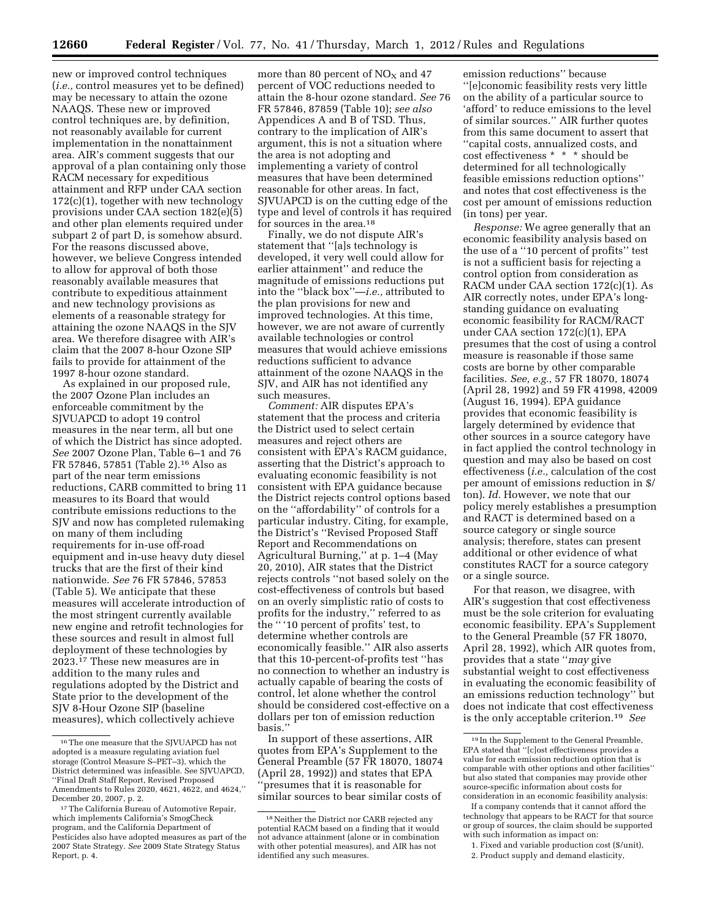new or improved control techniques (*i.e.,* control measures yet to be defined) may be necessary to attain the ozone NAAQS. These new or improved control techniques are, by definition, not reasonably available for current implementation in the nonattainment area. AIR's comment suggests that our approval of a plan containing only those RACM necessary for expeditious attainment and RFP under CAA section 172(c)(1), together with new technology provisions under CAA section 182(e)(5) and other plan elements required under subpart 2 of part D, is somehow absurd. For the reasons discussed above, however, we believe Congress intended to allow for approval of both those reasonably available measures that contribute to expeditious attainment and new technology provisions as elements of a reasonable strategy for attaining the ozone NAAQS in the SJV area. We therefore disagree with AIR's claim that the 2007 8-hour Ozone SIP fails to provide for attainment of the 1997 8-hour ozone standard.

As explained in our proposed rule, the 2007 Ozone Plan includes an enforceable commitment by the SJVUAPCD to adopt 19 control measures in the near term, all but one of which the District has since adopted. *See* 2007 Ozone Plan, Table 6–1 and 76 FR 57846, 57851 (Table 2).16 Also as part of the near term emissions reductions, CARB committed to bring 11 measures to its Board that would contribute emissions reductions to the SJV and now has completed rulemaking on many of them including requirements for in-use off-road equipment and in-use heavy duty diesel trucks that are the first of their kind nationwide. *See* 76 FR 57846, 57853 (Table 5). We anticipate that these measures will accelerate introduction of the most stringent currently available new engine and retrofit technologies for these sources and result in almost full deployment of these technologies by 2023.17 These new measures are in addition to the many rules and regulations adopted by the District and State prior to the development of the SJV 8-Hour Ozone SIP (baseline measures), which collectively achieve

more than 80 percent of  $NO<sub>x</sub>$  and 47 percent of VOC reductions needed to attain the 8-hour ozone standard. *See* 76 FR 57846, 87859 (Table 10); *see also*  Appendices A and B of TSD. Thus, contrary to the implication of AIR's argument, this is not a situation where the area is not adopting and implementing a variety of control measures that have been determined reasonable for other areas. In fact, SJVUAPCD is on the cutting edge of the type and level of controls it has required for sources in the area.18

Finally, we do not dispute AIR's statement that ''[a]s technology is developed, it very well could allow for earlier attainment'' and reduce the magnitude of emissions reductions put into the ''black box''—*i.e.,* attributed to the plan provisions for new and improved technologies. At this time, however, we are not aware of currently available technologies or control measures that would achieve emissions reductions sufficient to advance attainment of the ozone NAAQS in the SJV, and AIR has not identified any such measures.

*Comment:* AIR disputes EPA's statement that the process and criteria the District used to select certain measures and reject others are consistent with EPA's RACM guidance, asserting that the District's approach to evaluating economic feasibility is not consistent with EPA guidance because the District rejects control options based on the ''affordability'' of controls for a particular industry. Citing, for example, the District's ''Revised Proposed Staff Report and Recommendations on Agricultural Burning,'' at p. 1–4 (May 20, 2010), AIR states that the District rejects controls ''not based solely on the cost-effectiveness of controls but based on an overly simplistic ratio of costs to profits for the industry,'' referred to as the '' '10 percent of profits' test, to determine whether controls are economically feasible.'' AIR also asserts that this 10-percent-of-profits test ''has no connection to whether an industry is actually capable of bearing the costs of control, let alone whether the control should be considered cost-effective on a dollars per ton of emission reduction basis.''

In support of these assertions, AIR quotes from EPA's Supplement to the General Preamble (57 FR 18070, 18074 (April 28, 1992)) and states that EPA 'presumes that it is reasonable for similar sources to bear similar costs of

emission reductions'' because ''[e]conomic feasibility rests very little on the ability of a particular source to 'afford' to reduce emissions to the level of similar sources.'' AIR further quotes from this same document to assert that ''capital costs, annualized costs, and cost effectiveness \* \* \* should be determined for all technologically feasible emissions reduction options'' and notes that cost effectiveness is the cost per amount of emissions reduction (in tons) per year.

*Response:* We agree generally that an economic feasibility analysis based on the use of a ''10 percent of profits'' test is not a sufficient basis for rejecting a control option from consideration as RACM under CAA section 172(c)(1). As AIR correctly notes, under EPA's longstanding guidance on evaluating economic feasibility for RACM/RACT under CAA section 172(c)(1), EPA presumes that the cost of using a control measure is reasonable if those same costs are borne by other comparable facilities. *See, e.g.,* 57 FR 18070, 18074 (April 28, 1992) and 59 FR 41998, 42009 (August 16, 1994). EPA guidance provides that economic feasibility is largely determined by evidence that other sources in a source category have in fact applied the control technology in question and may also be based on cost effectiveness (*i.e.,* calculation of the cost per amount of emissions reduction in \$/ ton). *Id.* However, we note that our policy merely establishes a presumption and RACT is determined based on a source category or single source analysis; therefore, states can present additional or other evidence of what constitutes RACT for a source category or a single source.

For that reason, we disagree, with AIR's suggestion that cost effectiveness must be the sole criterion for evaluating economic feasibility. EPA's Supplement to the General Preamble (57 FR 18070, April 28, 1992), which AIR quotes from, provides that a state ''*may* give substantial weight to cost effectiveness in evaluating the economic feasibility of an emissions reduction technology'' but does not indicate that cost effectiveness is the only acceptable criterion.19 *See* 

If a company contends that it cannot afford the technology that appears to be RACT for that source or group of sources, the claim should be supported with such information as impact on:

<sup>16</sup>The one measure that the SJVUAPCD has not adopted is a measure regulating aviation fuel storage (Control Measure S–PET–3), which the District determined was infeasible. See SJVUAPCD, ''Final Draft Staff Report, Revised Proposed Amendments to Rules 2020, 4621, 4622, and 4624,'' December 20, 2007, p. 2.

<sup>17</sup>The California Bureau of Automotive Repair, which implements California's SmogCheck program, and the California Department of Pesticides also have adopted measures as part of the 2007 State Strategy. *See* 2009 State Strategy Status Report, p. 4.

<sup>18</sup>Neither the District nor CARB rejected any potential RACM based on a finding that it would not advance attainment (alone or in combination with other potential measures), and AIR has not identified any such measures.

<sup>19</sup> In the Supplement to the General Preamble, EPA stated that ''[c]ost effectiveness provides a value for each emission reduction option that is comparable with other options and other facilities'' but also stated that companies may provide other source-specific information about costs for consideration in an economic feasibility analysis:

<sup>1.</sup> Fixed and variable production cost (\$/unit),

<sup>2.</sup> Product supply and demand elasticity,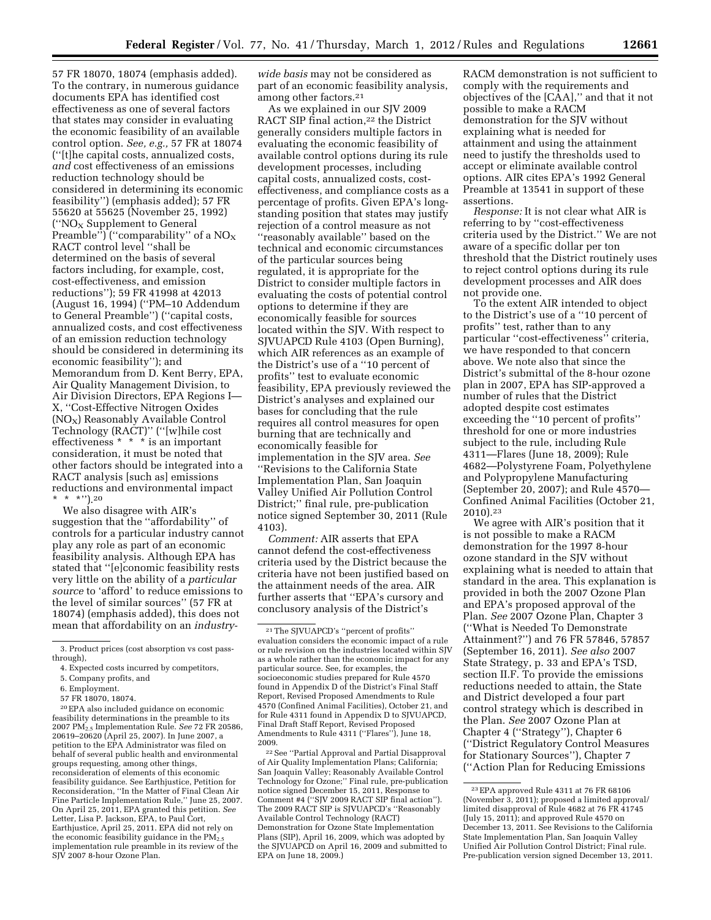57 FR 18070, 18074 (emphasis added). To the contrary, in numerous guidance documents EPA has identified cost effectiveness as one of several factors that states may consider in evaluating the economic feasibility of an available control option. *See, e.g.,* 57 FR at 18074 (''[t]he capital costs, annualized costs, *and* cost effectiveness of an emissions reduction technology should be considered in determining its economic feasibility'') (emphasis added); 57 FR 55620 at 55625 (November 25, 1992) ("NO<sub>X</sub> Supplement to General Preamble") ("comparability" of a  $NO<sub>x</sub>$ RACT control level ''shall be determined on the basis of several factors including, for example, cost, cost-effectiveness, and emission reductions''); 59 FR 41998 at 42013 (August 16, 1994) (''PM–10 Addendum to General Preamble'') (''capital costs, annualized costs, and cost effectiveness of an emission reduction technology should be considered in determining its economic feasibility''); and Memorandum from D. Kent Berry, EPA, Air Quality Management Division, to Air Division Directors, EPA Regions I— X, ''Cost-Effective Nitrogen Oxides (NOX) Reasonably Available Control Technology (RACT)'' (''[w]hile cost effectiveness \* \* \* is an important consideration, it must be noted that other factors should be integrated into a RACT analysis [such as] emissions reductions and environmental impact \* \* \*'').20

We also disagree with AIR's suggestion that the ''affordability'' of controls for a particular industry cannot play any role as part of an economic feasibility analysis. Although EPA has stated that ''[e]conomic feasibility rests very little on the ability of a *particular source* to 'afford' to reduce emissions to the level of similar sources'' (57 FR at 18074) (emphasis added), this does not mean that affordability on an *industry-*

57 FR 18070, 18074.

20EPA also included guidance on economic feasibility determinations in the preamble to its 2007 PM2.5 Implementation Rule. *See* 72 FR 20586, 20619–20620 (April 25, 2007). In June 2007, a petition to the EPA Administrator was filed on behalf of several public health and environmental groups requesting, among other things, reconsideration of elements of this economic feasibility guidance. See Earthjustice, Petition for Reconsideration, ''In the Matter of Final Clean Air Fine Particle Implementation Rule,'' June 25, 2007. On April 25, 2011, EPA granted this petition. *See*  Letter, Lisa P. Jackson, EPA, to Paul Cort, Earthjustice, April 25, 2011. EPA did not rely on the economic feasibility guidance in the  $PM_{2.5}$ implementation rule preamble in its review of the SJV 2007 8-hour Ozone Plan.

*wide basis* may not be considered as part of an economic feasibility analysis, among other factors.21

As we explained in our SJV 2009 RACT SIP final action,<sup>22</sup> the District generally considers multiple factors in evaluating the economic feasibility of available control options during its rule development processes, including capital costs, annualized costs, costeffectiveness, and compliance costs as a percentage of profits. Given EPA's longstanding position that states may justify rejection of a control measure as not ''reasonably available'' based on the technical and economic circumstances of the particular sources being regulated, it is appropriate for the District to consider multiple factors in evaluating the costs of potential control options to determine if they are economically feasible for sources located within the SJV. With respect to SJVUAPCD Rule 4103 (Open Burning), which AIR references as an example of the District's use of a ''10 percent of profits'' test to evaluate economic feasibility, EPA previously reviewed the District's analyses and explained our bases for concluding that the rule requires all control measures for open burning that are technically and economically feasible for implementation in the SJV area. *See*  ''Revisions to the California State Implementation Plan, San Joaquin Valley Unified Air Pollution Control District;'' final rule, pre-publication notice signed September 30, 2011 (Rule 4103).

*Comment:* AIR asserts that EPA cannot defend the cost-effectiveness criteria used by the District because the criteria have not been justified based on the attainment needs of the area. AIR further asserts that ''EPA's cursory and conclusory analysis of the District's

22See ''Partial Approval and Partial Disapproval of Air Quality Implementation Plans; California; San Joaquin Valley; Reasonably Available Control Technology for Ozone;'' Final rule, pre-publication notice signed December 15, 2011, Response to Comment #4 (''SJV 2009 RACT SIP final action''). The 2009 RACT SIP is SJVUAPCD's ''Reasonably Available Control Technology (RACT) Demonstration for Ozone State Implementation Plans (SIP), April 16, 2009, which was adopted by the SJVUAPCD on April 16, 2009 and submitted to EPA on June 18, 2009.)

RACM demonstration is not sufficient to comply with the requirements and objectives of the [CAA],'' and that it not possible to make a RACM demonstration for the SJV without explaining what is needed for attainment and using the attainment need to justify the thresholds used to accept or eliminate available control options. AIR cites EPA's 1992 General Preamble at 13541 in support of these assertions.

*Response:* It is not clear what AIR is referring to by ''cost-effectiveness criteria used by the District.'' We are not aware of a specific dollar per ton threshold that the District routinely uses to reject control options during its rule development processes and AIR does not provide one.

To the extent AIR intended to object to the District's use of a ''10 percent of profits'' test, rather than to any particular ''cost-effectiveness'' criteria, we have responded to that concern above. We note also that since the District's submittal of the 8-hour ozone plan in 2007, EPA has SIP-approved a number of rules that the District adopted despite cost estimates exceeding the ''10 percent of profits'' threshold for one or more industries subject to the rule, including Rule 4311—Flares (June 18, 2009); Rule 4682—Polystyrene Foam, Polyethylene and Polypropylene Manufacturing (September 20, 2007); and Rule 4570— Confined Animal Facilities (October 21, 2010).23

We agree with AIR's position that it is not possible to make a RACM demonstration for the 1997 8-hour ozone standard in the SJV without explaining what is needed to attain that standard in the area. This explanation is provided in both the 2007 Ozone Plan and EPA's proposed approval of the Plan. *See* 2007 Ozone Plan, Chapter 3 (''What is Needed To Demonstrate Attainment?'') and 76 FR 57846, 57857 (September 16, 2011). *See also* 2007 State Strategy, p. 33 and EPA's TSD, section II.F. To provide the emissions reductions needed to attain, the State and District developed a four part control strategy which is described in the Plan. *See* 2007 Ozone Plan at Chapter 4 (''Strategy''), Chapter 6 (''District Regulatory Control Measures for Stationary Sources''), Chapter 7 (''Action Plan for Reducing Emissions

<sup>3.</sup> Product prices (cost absorption vs cost passthrough),

<sup>4.</sup> Expected costs incurred by competitors,

<sup>5.</sup> Company profits, and

<sup>6.</sup> Employment.

<sup>21</sup>The SJVUAPCD's ''percent of profits'' evaluation considers the economic impact of a rule or rule revision on the industries located within SJV as a whole rather than the economic impact for any particular source. See, for examples, the socioeconomic studies prepared for Rule 4570 found in Appendix D of the District's Final Staff Report, Revised Proposed Amendments to Rule 4570 (Confined Animal Facilities), October 21, and for Rule 4311 found in Appendix D to SJVUAPCD, Final Draft Staff Report, Revised Proposed Amendments to Rule 4311 (''Flares''), June 18, 2009.

<sup>23</sup>EPA approved Rule 4311 at 76 FR 68106 (November 3, 2011); proposed a limited approval/ limited disapproval of Rule 4682 at 76 FR 41745 (July 15, 2011); and approved Rule 4570 on December 13, 2011. See Revisions to the California State Implementation Plan, San Joaquin Valley Unified Air Pollution Control District; Final rule. Pre-publication version signed December 13, 2011.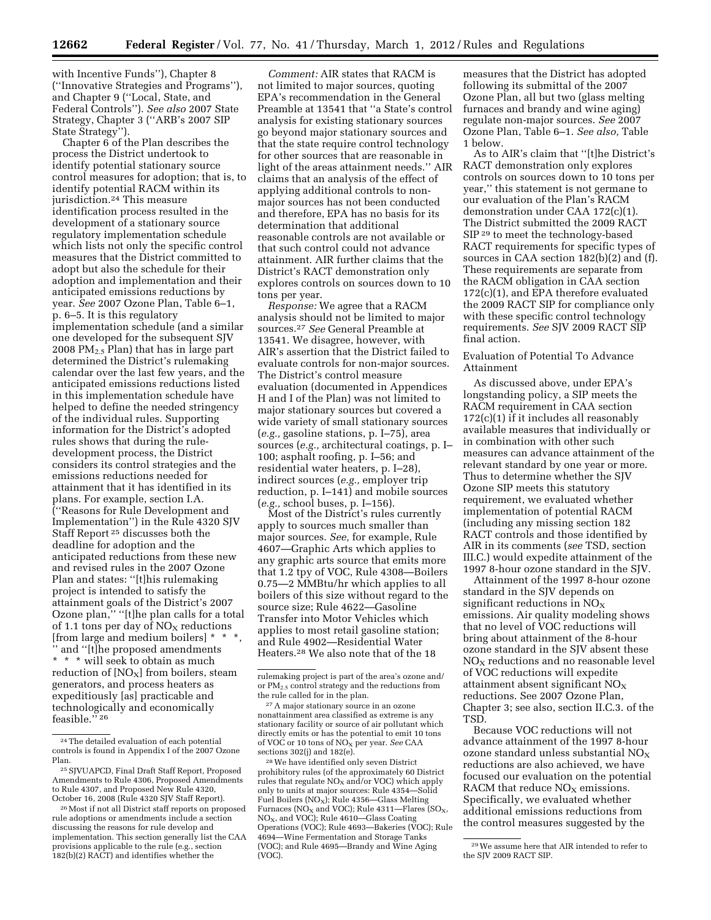with Incentive Funds''), Chapter 8 (''Innovative Strategies and Programs''), and Chapter 9 (''Local, State, and Federal Controls''). *See also* 2007 State Strategy, Chapter 3 (''ARB's 2007 SIP State Strategy'').

Chapter 6 of the Plan describes the process the District undertook to identify potential stationary source control measures for adoption; that is, to identify potential RACM within its jurisdiction.24 This measure identification process resulted in the development of a stationary source regulatory implementation schedule which lists not only the specific control measures that the District committed to adopt but also the schedule for their adoption and implementation and their anticipated emissions reductions by year. *See* 2007 Ozone Plan, Table 6–1, p. 6–5. It is this regulatory implementation schedule (and a similar one developed for the subsequent SJV 2008 PM $_{2.5}$  Plan) that has in large part determined the District's rulemaking calendar over the last few years, and the anticipated emissions reductions listed in this implementation schedule have helped to define the needed stringency of the individual rules. Supporting information for the District's adopted rules shows that during the ruledevelopment process, the District considers its control strategies and the emissions reductions needed for attainment that it has identified in its plans. For example, section I.A. (''Reasons for Rule Development and Implementation'') in the Rule 4320 SJV Staff Report 25 discusses both the deadline for adoption and the anticipated reductions from these new and revised rules in the 2007 Ozone Plan and states: ''[t]his rulemaking project is intended to satisfy the attainment goals of the District's 2007 Ozone plan,'' ''[t]he plan calls for a total of 1.1 tons per day of  $NO<sub>X</sub>$  reductions [from large and medium boilers] \* \* '' and ''[t]he proposed amendments \* \* \* will seek to obtain as much reduction of  $[NO<sub>X</sub>]$  from boilers, steam generators, and process heaters as expeditiously [as] practicable and technologically and economically feasible.'' 26

*Comment:* AIR states that RACM is not limited to major sources, quoting EPA's recommendation in the General Preamble at 13541 that ''a State's control analysis for existing stationary sources go beyond major stationary sources and that the state require control technology for other sources that are reasonable in light of the areas attainment needs.'' AIR claims that an analysis of the effect of applying additional controls to nonmajor sources has not been conducted and therefore, EPA has no basis for its determination that additional reasonable controls are not available or that such control could not advance attainment. AIR further claims that the District's RACT demonstration only explores controls on sources down to 10 tons per year.

*Response:* We agree that a RACM analysis should not be limited to major sources.27 *See* General Preamble at 13541. We disagree, however, with AIR's assertion that the District failed to evaluate controls for non-major sources. The District's control measure evaluation (documented in Appendices H and I of the Plan) was not limited to major stationary sources but covered a wide variety of small stationary sources (*e.g.,* gasoline stations, p. I–75), area sources (*e.g.,* architectural coatings, p. I– 100; asphalt roofing, p. I–56; and residential water heaters, p. I–28), indirect sources (*e.g.,* employer trip reduction, p. I–141) and mobile sources (*e.g.,* school buses, p. I–156).

Most of the District's rules currently apply to sources much smaller than major sources. *See,* for example, Rule 4607—Graphic Arts which applies to any graphic arts source that emits more that 1.2 tpy of VOC, Rule 4308—Boilers 0.75—2 MMBtu/hr which applies to all boilers of this size without regard to the source size; Rule 4622—Gasoline Transfer into Motor Vehicles which applies to most retail gasoline station; and Rule 4902—Residential Water Heaters.28 We also note that of the 18

28We have identified only seven District prohibitory rules (of the approximately 60 District rules that regulate  $NO<sub>x</sub>$  and/or VOC) which apply only to units at major sources: Rule 4354—Solid Fuel Boilers ( $NO_X$ ); Rule 4356—Glass Melting Furnaces (NO<sub>X</sub> and VOC); Rule 4311-Flares (SO<sub>X</sub>, NO<sub>X</sub>, and VOC); Rule 4610-Glass Coating Operations (VOC); Rule 4693—Bakeries (VOC); Rule 4694—Wine Fermentation and Storage Tanks (VOC); and Rule 4695—Brandy and Wine Aging (VOC).

measures that the District has adopted following its submittal of the 2007 Ozone Plan, all but two (glass melting furnaces and brandy and wine aging) regulate non-major sources. *See* 2007 Ozone Plan, Table 6–1. *See also,* Table 1 below.

As to AIR's claim that ''[t]he District's RACT demonstration only explores controls on sources down to 10 tons per year,'' this statement is not germane to our evaluation of the Plan's RACM demonstration under CAA 172(c)(1). The District submitted the 2009 RACT SIP<sup>29</sup> to meet the technology-based RACT requirements for specific types of sources in CAA section 182(b)(2) and (f). These requirements are separate from the RACM obligation in CAA section 172(c)(1), and EPA therefore evaluated the 2009 RACT SIP for compliance only with these specific control technology requirements. *See* SJV 2009 RACT SIP final action.

# Evaluation of Potential To Advance Attainment

As discussed above, under EPA's longstanding policy, a SIP meets the RACM requirement in CAA section 172(c)(1) if it includes all reasonably available measures that individually or in combination with other such measures can advance attainment of the relevant standard by one year or more. Thus to determine whether the SJV Ozone SIP meets this statutory requirement, we evaluated whether implementation of potential RACM (including any missing section 182 RACT controls and those identified by AIR in its comments (*see* TSD, section III.C.) would expedite attainment of the 1997 8-hour ozone standard in the SJV.

Attainment of the 1997 8-hour ozone standard in the SJV depends on significant reductions in  $NO<sub>x</sub>$ emissions. Air quality modeling shows that no level of VOC reductions will bring about attainment of the 8-hour ozone standard in the SJV absent these  $NO<sub>x</sub>$  reductions and no reasonable level of VOC reductions will expedite attainment absent significant  $NO<sub>x</sub>$ reductions. See 2007 Ozone Plan, Chapter 3; see also, section II.C.3. of the TSD.

Because VOC reductions will not advance attainment of the 1997 8-hour ozone standard unless substantial  $NO<sub>X</sub>$ reductions are also achieved, we have focused our evaluation on the potential RACM that reduce  $NO<sub>x</sub>$  emissions. Specifically, we evaluated whether additional emissions reductions from the control measures suggested by the

<sup>24</sup>The detailed evaluation of each potential controls is found in Appendix I of the 2007 Ozone Plan.

<sup>25</sup>SJVUAPCD, Final Draft Staff Report, Proposed Amendments to Rule 4306, Proposed Amendments to Rule 4307, and Proposed New Rule 4320, October 16, 2008 (Rule 4320 SJV Staff Report).

<sup>26</sup>Most if not all District staff reports on proposed rule adoptions or amendments include a section discussing the reasons for rule develop and implementation. This section generally list the CAA provisions applicable to the rule (e.g., section 182(b)(2) RACT) and identifies whether the

rulemaking project is part of the area's ozone and/ or PM2.5 control strategy and the reductions from the rule called for in the plan.

<sup>27</sup>A major stationary source in an ozone nonattainment area classified as extreme is any stationary facility or source of air pollutant which directly emits or has the potential to emit 10 tons of VOC or 10 tons of NOX per year. *See* CAA sections 302(j) and 182(e).

<sup>29</sup>We assume here that AIR intended to refer to the SJV 2009 RACT SIP.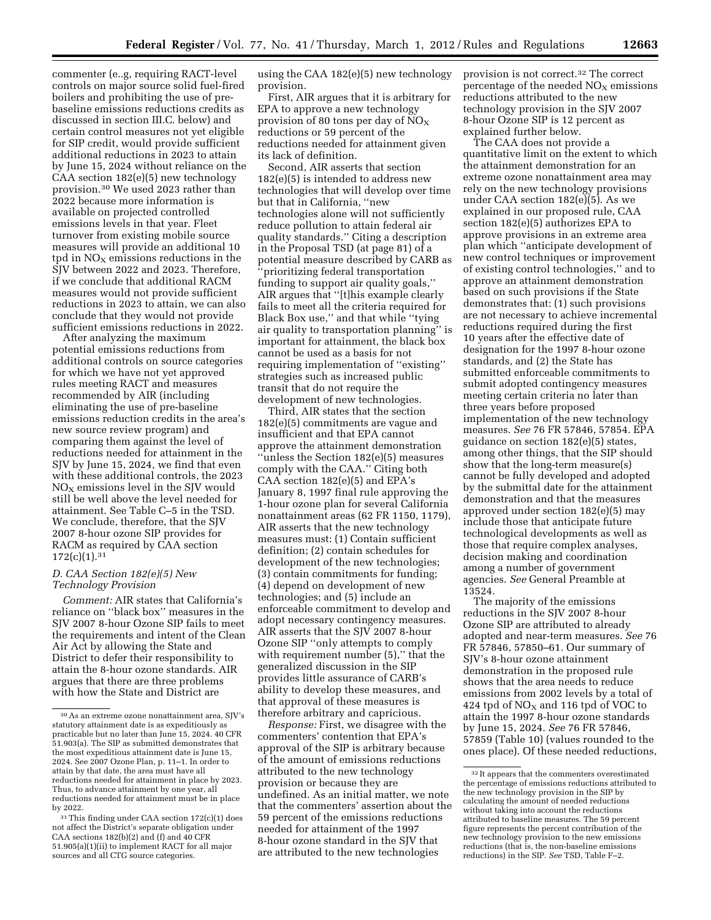commenter (e..g, requiring RACT-level controls on major source solid fuel-fired boilers and prohibiting the use of prebaseline emissions reductions credits as discussed in section III.C. below) and certain control measures not yet eligible for SIP credit, would provide sufficient additional reductions in 2023 to attain by June 15, 2024 without reliance on the CAA section 182(e)(5) new technology provision.30 We used 2023 rather than 2022 because more information is available on projected controlled emissions levels in that year. Fleet turnover from existing mobile source measures will provide an additional 10 tpd in  $NO<sub>X</sub>$  emissions reductions in the SJV between 2022 and 2023. Therefore, if we conclude that additional RACM measures would not provide sufficient reductions in 2023 to attain, we can also conclude that they would not provide sufficient emissions reductions in 2022.

After analyzing the maximum potential emissions reductions from additional controls on source categories for which we have not yet approved rules meeting RACT and measures recommended by AIR (including eliminating the use of pre-baseline emissions reduction credits in the area's new source review program) and comparing them against the level of reductions needed for attainment in the SJV by June 15, 2024, we find that even with these additional controls, the 2023  $NO<sub>x</sub>$  emissions level in the SJV would still be well above the level needed for attainment. See Table C–5 in the TSD. We conclude, therefore, that the SJV 2007 8-hour ozone SIP provides for RACM as required by CAA section  $172(c)(1).^{31}$ 

## *D. CAA Section 182(e)(5) New Technology Provision*

*Comment:* AIR states that California's reliance on ''black box'' measures in the SJV 2007 8-hour Ozone SIP fails to meet the requirements and intent of the Clean Air Act by allowing the State and District to defer their responsibility to attain the 8-hour ozone standards. AIR argues that there are three problems with how the State and District are

using the CAA 182(e)(5) new technology provision.

First, AIR argues that it is arbitrary for EPA to approve a new technology provision of 80 tons per day of  $NO<sub>x</sub>$ reductions or 59 percent of the reductions needed for attainment given its lack of definition.

Second, AIR asserts that section 182(e)(5) is intended to address new technologies that will develop over time but that in California, ''new technologies alone will not sufficiently reduce pollution to attain federal air quality standards.'' Citing a description in the Proposal TSD (at page 81) of a potential measure described by CARB as 'prioritizing federal transportation funding to support air quality goals,'' AIR argues that ''[t]his example clearly fails to meet all the criteria required for Black Box use,'' and that while ''tying air quality to transportation planning'' is important for attainment, the black box cannot be used as a basis for not requiring implementation of ''existing'' strategies such as increased public transit that do not require the development of new technologies.

Third, AIR states that the section 182(e)(5) commitments are vague and insufficient and that EPA cannot approve the attainment demonstration ''unless the Section 182(e)(5) measures comply with the CAA.'' Citing both CAA section 182(e)(5) and EPA's January 8, 1997 final rule approving the 1-hour ozone plan for several California nonattainment areas (62 FR 1150, 1179), AIR asserts that the new technology measures must: (1) Contain sufficient definition; (2) contain schedules for development of the new technologies; (3) contain commitments for funding; (4) depend on development of new technologies; and (5) include an enforceable commitment to develop and adopt necessary contingency measures. AIR asserts that the SJV 2007 8-hour Ozone SIP ''only attempts to comply with requirement number  $(5)$ ," that the generalized discussion in the SIP provides little assurance of CARB's ability to develop these measures, and that approval of these measures is therefore arbitrary and capricious.

*Response:* First, we disagree with the commenters' contention that EPA's approval of the SIP is arbitrary because of the amount of emissions reductions attributed to the new technology provision or because they are undefined. As an initial matter, we note that the commenters' assertion about the 59 percent of the emissions reductions needed for attainment of the 1997 8-hour ozone standard in the SJV that are attributed to the new technologies

provision is not correct.32 The correct percentage of the needed  $NO<sub>x</sub>$  emissions reductions attributed to the new technology provision in the SJV 2007 8-hour Ozone SIP is 12 percent as explained further below.

The CAA does not provide a quantitative limit on the extent to which the attainment demonstration for an extreme ozone nonattainment area may rely on the new technology provisions under CAA section 182(e)(5). As we explained in our proposed rule, CAA section 182(e)(5) authorizes EPA to approve provisions in an extreme area plan which ''anticipate development of new control techniques or improvement of existing control technologies,'' and to approve an attainment demonstration based on such provisions if the State demonstrates that: (1) such provisions are not necessary to achieve incremental reductions required during the first 10 years after the effective date of designation for the 1997 8-hour ozone standards, and (2) the State has submitted enforceable commitments to submit adopted contingency measures meeting certain criteria no later than three years before proposed implementation of the new technology measures. *See* 76 FR 57846, 57854. EPA guidance on section 182(e)(5) states, among other things, that the SIP should show that the long-term measure(s) cannot be fully developed and adopted by the submittal date for the attainment demonstration and that the measures approved under section 182(e)(5) may include those that anticipate future technological developments as well as those that require complex analyses, decision making and coordination among a number of government agencies. *See* General Preamble at 13524.

The majority of the emissions reductions in the SJV 2007 8-hour Ozone SIP are attributed to already adopted and near-term measures. *See* 76 FR 57846, 57850–61*.* Our summary of SJV's 8-hour ozone attainment demonstration in the proposed rule shows that the area needs to reduce emissions from 2002 levels by a total of 424 tpd of  $NO<sub>x</sub>$  and 116 tpd of VOC to attain the 1997 8-hour ozone standards by June 15, 2024. *See* 76 FR 57846, 57859 (Table 10) (values rounded to the ones place). Of these needed reductions,

<sup>30</sup>As an extreme ozone nonattainment area, SJV's statutory attainment date is as expeditiously as practicable but no later than June 15, 2024. 40 CFR 51.903(a). The SIP as submitted demonstrates that the most expeditious attainment date is June 15, 2024. See 2007 Ozone Plan, p. 11–1. In order to attain by that date, the area must have all reductions needed for attainment in place by 2023. Thus, to advance attainment by one year, all reductions needed for attainment must be in place by 2022.

<sup>31</sup>This finding under CAA section 172(c)(1) does not affect the District's separate obligation under CAA sections 182(b)(2) and (f) and 40 CFR 51.905(a)(1)(ii) to implement RACT for all major sources and all CTG source categories.

 $^\mathrm{32}\mathrm{It}$  appears that the commenters overestimated the percentage of emissions reductions attributed to the new technology provision in the SIP by calculating the amount of needed reductions without taking into account the reductions attributed to baseline measures. The 59 percent figure represents the percent contribution of the new technology provision to the new emissions reductions (that is, the non-baseline emissions reductions) in the SIP. *See* TSD, Table F–2.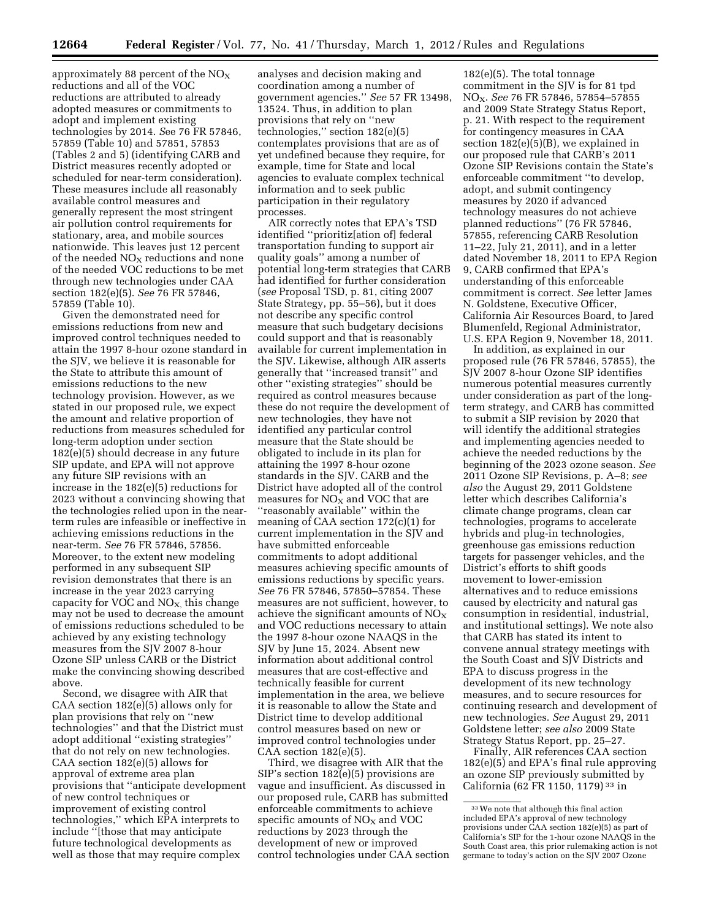approximately 88 percent of the  $NO<sub>x</sub>$ reductions and all of the VOC reductions are attributed to already adopted measures or commitments to adopt and implement existing technologies by 2014. *S*ee 76 FR 57846, 57859 (Table 10) and 57851, 57853 (Tables 2 and 5) (identifying CARB and District measures recently adopted or scheduled for near-term consideration). These measures include all reasonably available control measures and generally represent the most stringent air pollution control requirements for stationary, area, and mobile sources nationwide. This leaves just 12 percent of the needed  $NO<sub>X</sub>$  reductions and none of the needed VOC reductions to be met through new technologies under CAA section 182(e)(5). *See* 76 FR 57846, 57859 (Table 10).

Given the demonstrated need for emissions reductions from new and improved control techniques needed to attain the 1997 8-hour ozone standard in the SJV, we believe it is reasonable for the State to attribute this amount of emissions reductions to the new technology provision. However, as we stated in our proposed rule, we expect the amount and relative proportion of reductions from measures scheduled for long-term adoption under section 182(e)(5) should decrease in any future SIP update, and EPA will not approve any future SIP revisions with an increase in the 182(e)(5) reductions for 2023 without a convincing showing that the technologies relied upon in the nearterm rules are infeasible or ineffective in achieving emissions reductions in the near-term. *See* 76 FR 57846, 57856. Moreover, to the extent new modeling performed in any subsequent SIP revision demonstrates that there is an increase in the year 2023 carrying capacity for VOC and  $NO<sub>X</sub>$ , this change may not be used to decrease the amount of emissions reductions scheduled to be achieved by any existing technology measures from the SJV 2007 8-hour Ozone SIP unless CARB or the District make the convincing showing described above.

Second, we disagree with AIR that CAA section  $182(e)(5)$  allows only for plan provisions that rely on ''new technologies'' and that the District must adopt additional ''existing strategies'' that do not rely on new technologies. CAA section 182(e)(5) allows for approval of extreme area plan provisions that ''anticipate development of new control techniques or improvement of existing control technologies,'' which EPA interprets to include ''[those that may anticipate future technological developments as well as those that may require complex

analyses and decision making and coordination among a number of government agencies.'' *See* 57 FR 13498, 13524. Thus, in addition to plan provisions that rely on ''new technologies,'' section 182(e)(5) contemplates provisions that are as of yet undefined because they require, for example, time for State and local agencies to evaluate complex technical information and to seek public participation in their regulatory processes.

AIR correctly notes that EPA's TSD identified ''prioritiz[ation of] federal transportation funding to support air quality goals'' among a number of potential long-term strategies that CARB had identified for further consideration (*see* Proposal TSD, p. 81, citing 2007 State Strategy, pp. 55–56), but it does not describe any specific control measure that such budgetary decisions could support and that is reasonably available for current implementation in the SJV. Likewise, although AIR asserts generally that ''increased transit'' and other ''existing strategies'' should be required as control measures because these do not require the development of new technologies, they have not identified any particular control measure that the State should be obligated to include in its plan for attaining the 1997 8-hour ozone standards in the SJV. CARB and the District have adopted all of the control measures for  $NO<sub>X</sub>$  and VOC that are ''reasonably available'' within the meaning of CAA section 172(c)(1) for current implementation in the SJV and have submitted enforceable commitments to adopt additional measures achieving specific amounts of emissions reductions by specific years. *See* 76 FR 57846, 57850–57854. These measures are not sufficient, however, to achieve the significant amounts of  $NO<sub>x</sub>$ and VOC reductions necessary to attain the 1997 8-hour ozone NAAQS in the SJV by June 15, 2024. Absent new information about additional control measures that are cost-effective and technically feasible for current implementation in the area, we believe it is reasonable to allow the State and District time to develop additional control measures based on new or improved control technologies under CAA section 182(e)(5).

Third, we disagree with AIR that the SIP's section 182(e)(5) provisions are vague and insufficient. As discussed in our proposed rule, CARB has submitted enforceable commitments to achieve specific amounts of  $NO<sub>X</sub>$  and VOC reductions by 2023 through the development of new or improved control technologies under CAA section

182(e)(5). The total tonnage commitment in the SJV is for 81 tpd NOX. *See* 76 FR 57846, 57854–57855 and 2009 State Strategy Status Report, p. 21. With respect to the requirement for contingency measures in CAA section 182(e)(5)(B), we explained in our proposed rule that CARB's 2011 Ozone SIP Revisions contain the State's enforceable commitment ''to develop, adopt, and submit contingency measures by 2020 if advanced technology measures do not achieve planned reductions'' (76 FR 57846, 57855, referencing CARB Resolution 11–22, July 21, 2011), and in a letter dated November 18, 2011 to EPA Region 9, CARB confirmed that EPA's understanding of this enforceable commitment is correct. *See* letter James N. Goldstene, Executive Officer, California Air Resources Board, to Jared Blumenfeld, Regional Administrator, U.S. EPA Region 9, November 18, 2011.

In addition, as explained in our proposed rule (76 FR 57846, 57855), the SJV 2007 8-hour Ozone SIP identifies numerous potential measures currently under consideration as part of the longterm strategy, and CARB has committed to submit a SIP revision by 2020 that will identify the additional strategies and implementing agencies needed to achieve the needed reductions by the beginning of the 2023 ozone season. *See*  2011 Ozone SIP Revisions, p. A–8; *see also* the August 29, 2011 Goldstene letter which describes California's climate change programs, clean car technologies, programs to accelerate hybrids and plug-in technologies, greenhouse gas emissions reduction targets for passenger vehicles, and the District's efforts to shift goods movement to lower-emission alternatives and to reduce emissions caused by electricity and natural gas consumption in residential, industrial, and institutional settings). We note also that CARB has stated its intent to convene annual strategy meetings with the South Coast and SJV Districts and EPA to discuss progress in the development of its new technology measures, and to secure resources for continuing research and development of new technologies. *See* August 29, 2011 Goldstene letter; *see also* 2009 State Strategy Status Report, pp. 25–27.

Finally, AIR references CAA section 182(e)(5) and EPA's final rule approving an ozone SIP previously submitted by California (62 FR 1150, 1179) 33 in

<sup>33</sup>We note that although this final action included EPA's approval of new technology provisions under CAA section 182(e)(5) as part of California's SIP for the 1-hour ozone NAAQS in the South Coast area, this prior rulemaking action is not germane to today's action on the SJV 2007 Ozone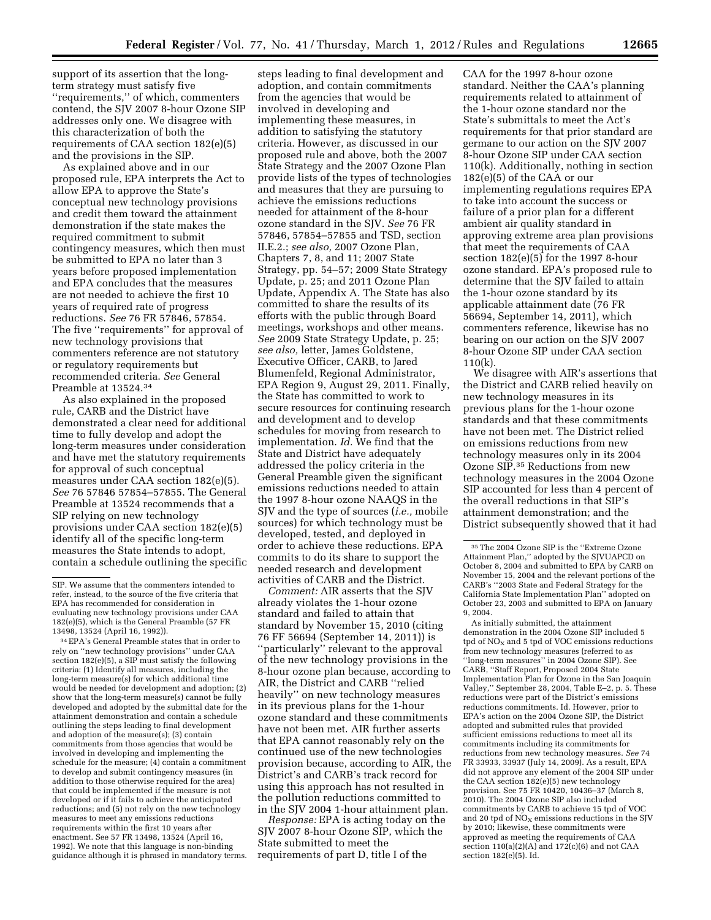support of its assertion that the longterm strategy must satisfy five ''requirements,'' of which, commenters contend, the SJV 2007 8-hour Ozone SIP addresses only one. We disagree with this characterization of both the requirements of CAA section 182(e)(5) and the provisions in the SIP.

As explained above and in our proposed rule, EPA interprets the Act to allow EPA to approve the State's conceptual new technology provisions and credit them toward the attainment demonstration if the state makes the required commitment to submit contingency measures, which then must be submitted to EPA no later than 3 years before proposed implementation and EPA concludes that the measures are not needed to achieve the first 10 years of required rate of progress reductions. *See* 76 FR 57846, 57854*.*  The five ''requirements'' for approval of new technology provisions that commenters reference are not statutory or regulatory requirements but recommended criteria. *See* General Preamble at 13524.34

As also explained in the proposed rule, CARB and the District have demonstrated a clear need for additional time to fully develop and adopt the long-term measures under consideration and have met the statutory requirements for approval of such conceptual measures under CAA section 182(e)(5). *See* 76 57846 57854–57855. The General Preamble at 13524 recommends that a SIP relying on new technology provisions under CAA section 182(e)(5) identify all of the specific long-term measures the State intends to adopt, contain a schedule outlining the specific

34EPA's General Preamble states that in order to rely on ''new technology provisions'' under CAA section 182(e)(5), a SIP must satisfy the following criteria: (1) Identify all measures, including the long-term measure(s) for which additional time would be needed for development and adoption; (2) show that the long-term measure(s) cannot be fully developed and adopted by the submittal date for the attainment demonstration and contain a schedule outlining the steps leading to final development and adoption of the measure(s); (3) contain commitments from those agencies that would be involved in developing and implementing the schedule for the measure; (4) contain a commitment to develop and submit contingency measures (in addition to those otherwise required for the area) that could be implemented if the measure is not developed or if it fails to achieve the anticipated reductions; and (5) not rely on the new technology measures to meet any emissions reductions requirements within the first 10 years after enactment. See 57 FR 13498, 13524 (April 16, 1992). We note that this language is non-binding guidance although it is phrased in mandatory terms.

steps leading to final development and adoption, and contain commitments from the agencies that would be involved in developing and implementing these measures, in addition to satisfying the statutory criteria. However, as discussed in our proposed rule and above, both the 2007 State Strategy and the 2007 Ozone Plan provide lists of the types of technologies and measures that they are pursuing to achieve the emissions reductions needed for attainment of the 8-hour ozone standard in the SJV. *See* 76 FR 57846, 57854–57855 and TSD, section II.E.2.; *see also,* 2007 Ozone Plan, Chapters 7, 8, and 11; 2007 State Strategy, pp. 54–57; 2009 State Strategy Update, p. 25; and 2011 Ozone Plan Update, Appendix A. The State has also committed to share the results of its efforts with the public through Board meetings, workshops and other means. *See* 2009 State Strategy Update, p. 25; *see also,* letter, James Goldstene, Executive Officer, CARB, to Jared Blumenfeld, Regional Administrator, EPA Region 9, August 29, 2011*.* Finally, the State has committed to work to secure resources for continuing research and development and to develop schedules for moving from research to implementation. *Id.* We find that the State and District have adequately addressed the policy criteria in the General Preamble given the significant emissions reductions needed to attain the 1997 8-hour ozone NAAQS in the SJV and the type of sources (*i.e.,* mobile sources) for which technology must be developed, tested, and deployed in order to achieve these reductions. EPA commits to do its share to support the needed research and development activities of CARB and the District.

*Comment:* AIR asserts that the SJV already violates the 1-hour ozone standard and failed to attain that standard by November 15, 2010 (citing 76 FF 56694 (September 14, 2011)) is ''particularly'' relevant to the approval of the new technology provisions in the 8-hour ozone plan because, according to AIR, the District and CARB ''relied heavily'' on new technology measures in its previous plans for the 1-hour ozone standard and these commitments have not been met. AIR further asserts that EPA cannot reasonably rely on the continued use of the new technologies provision because, according to AIR, the District's and CARB's track record for using this approach has not resulted in the pollution reductions committed to in the SJV 2004 1-hour attainment plan.

*Response:* EPA is acting today on the SJV 2007 8-hour Ozone SIP, which the State submitted to meet the requirements of part D, title I of the

CAA for the 1997 8-hour ozone standard. Neither the CAA's planning requirements related to attainment of the 1-hour ozone standard nor the State's submittals to meet the Act's requirements for that prior standard are germane to our action on the SJV 2007 8-hour Ozone SIP under CAA section 110(k). Additionally, nothing in section 182(e)(5) of the CAA or our implementing regulations requires EPA to take into account the success or failure of a prior plan for a different ambient air quality standard in approving extreme area plan provisions that meet the requirements of CAA section  $182(e)(5)$  for the 1997 8-hour ozone standard. EPA's proposed rule to determine that the SJV failed to attain the 1-hour ozone standard by its applicable attainment date (76 FR 56694, September 14, 2011), which commenters reference, likewise has no bearing on our action on the SJV 2007 8-hour Ozone SIP under CAA section 110(k).

We disagree with AIR's assertions that the District and CARB relied heavily on new technology measures in its previous plans for the 1-hour ozone standards and that these commitments have not been met. The District relied on emissions reductions from new technology measures only in its 2004 Ozone SIP.35 Reductions from new technology measures in the 2004 Ozone SIP accounted for less than 4 percent of the overall reductions in that SIP's attainment demonstration; and the District subsequently showed that it had

As initially submitted, the attainment demonstration in the 2004 Ozone SIP included 5 tpd of  $NO<sub>x</sub>$  and 5 tpd of VOC emissions reductions from new technology measures (referred to as ''long-term measures'' in 2004 Ozone SIP). See CARB, ''Staff Report, Proposed 2004 State Implementation Plan for Ozone in the San Joaquin Valley,'' September 28, 2004, Table E–2, p. 5. These reductions were part of the District's emissions reductions commitments. Id. However, prior to EPA's action on the 2004 Ozone SIP, the District adopted and submitted rules that provided sufficient emissions reductions to meet all its commitments including its commitments for reductions from new technology measures. *See* 74 FR 33933, 33937 (July 14, 2009). As a result, EPA did not approve any element of the 2004 SIP under the CAA section 182(e)(5) new technology provision. See 75 FR 10420, 10436–37 (March 8, 2010). The 2004 Ozone SIP also included commitments by CARB to achieve 15 tpd of VOC and 20 tpd of  $NO<sub>x</sub>$  emissions reductions in the SJV by 2010; likewise, these commitments were approved as meeting the requirements of CAA section  $110(a)(2)(A)$  and  $172(c)(6)$  and not CAA section 182(e)(5). Id.

SIP. We assume that the commenters intended to refer, instead, to the source of the five criteria that EPA has recommended for consideration in evaluating new technology provisions under CAA 182(e)(5), which is the General Preamble (57 FR 13498, 13524 (April 16, 1992)).

<sup>35</sup>The 2004 Ozone SIP is the ''Extreme Ozone Attainment Plan,'' adopted by the SJVUAPCD on October 8, 2004 and submitted to EPA by CARB on November 15, 2004 and the relevant portions of the CARB's ''2003 State and Federal Strategy for the California State Implementation Plan'' adopted on October 23, 2003 and submitted to EPA on January 9, 2004.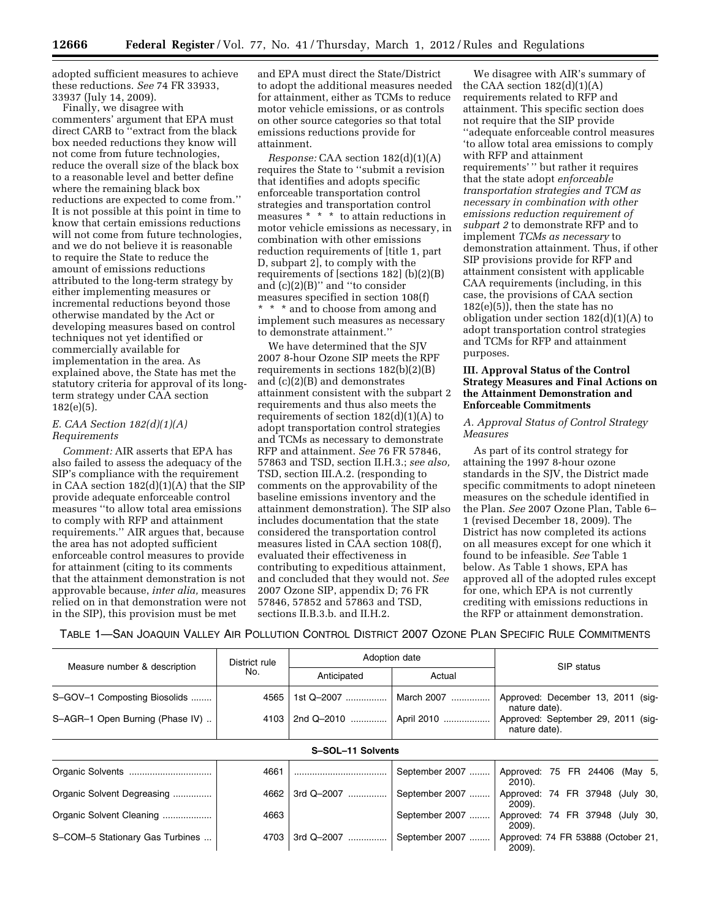adopted sufficient measures to achieve these reductions. *See* 74 FR 33933, 33937 (July 14, 2009).

Finally, we disagree with commenters' argument that EPA must direct CARB to ''extract from the black box needed reductions they know will not come from future technologies, reduce the overall size of the black box to a reasonable level and better define where the remaining black box reductions are expected to come from.'' It is not possible at this point in time to know that certain emissions reductions will not come from future technologies, and we do not believe it is reasonable to require the State to reduce the amount of emissions reductions attributed to the long-term strategy by either implementing measures or incremental reductions beyond those otherwise mandated by the Act or developing measures based on control techniques not yet identified or commercially available for implementation in the area. As explained above, the State has met the statutory criteria for approval of its longterm strategy under CAA section 182(e)(5).

#### *E. CAA Section 182(d)(1)(A) Requirements*

*Comment:* AIR asserts that EPA has also failed to assess the adequacy of the SIP's compliance with the requirement in CAA section 182(d)(1)(A) that the SIP provide adequate enforceable control measures ''to allow total area emissions to comply with RFP and attainment requirements.'' AIR argues that, because the area has not adopted sufficient enforceable control measures to provide for attainment (citing to its comments that the attainment demonstration is not approvable because, *inter alia,* measures relied on in that demonstration were not in the SIP), this provision must be met

and EPA must direct the State/District to adopt the additional measures needed for attainment, either as TCMs to reduce motor vehicle emissions, or as controls on other source categories so that total emissions reductions provide for attainment.

*Response:* CAA section 182(d)(1)(A) requires the State to ''submit a revision that identifies and adopts specific enforceable transportation control strategies and transportation control measures \* \* \* to attain reductions in motor vehicle emissions as necessary, in combination with other emissions reduction requirements of [title 1, part D, subpart 2], to comply with the requirements of [sections 182] (b)(2)(B) and (c)(2)(B)'' and ''to consider measures specified in section 108(f) \* \* \* and to choose from among and implement such measures as necessary to demonstrate attainment.''

We have determined that the SJV 2007 8-hour Ozone SIP meets the RPF requirements in sections 182(b)(2)(B) and (c)(2)(B) and demonstrates attainment consistent with the subpart 2 requirements and thus also meets the requirements of section  $182(d)(1)(A)$  to adopt transportation control strategies and TCMs as necessary to demonstrate RFP and attainment. *See* 76 FR 57846, 57863 and TSD, section II.H.3.; *see also,*  TSD, section III.A.2. (responding to comments on the approvability of the baseline emissions inventory and the attainment demonstration). The SIP also includes documentation that the state considered the transportation control measures listed in CAA section 108(f), evaluated their effectiveness in contributing to expeditious attainment, and concluded that they would not. *See*  2007 Ozone SIP, appendix D; 76 FR 57846, 57852 and 57863 and TSD, sections II.B.3.b. and II.H.2.

We disagree with AIR's summary of the CAA section  $182(d)(1)(A)$ requirements related to RFP and attainment. This specific section does not require that the SIP provide ''adequate enforceable control measures 'to allow total area emissions to comply with RFP and attainment requirements' '' but rather it requires that the state adopt *enforceable transportation strategies and TCM as necessary in combination with other emissions reduction requirement of subpart 2* to demonstrate RFP and to implement *TCMs as necessary* to demonstration attainment. Thus, if other SIP provisions provide for RFP and attainment consistent with applicable CAA requirements (including, in this case, the provisions of CAA section 182(e)(5)), then the state has no obligation under section 182(d)(1)(A) to adopt transportation control strategies and TCMs for RFP and attainment purposes.

### **III. Approval Status of the Control Strategy Measures and Final Actions on the Attainment Demonstration and Enforceable Commitments**

#### *A. Approval Status of Control Strategy Measures*

As part of its control strategy for attaining the 1997 8-hour ozone standards in the SJV, the District made specific commitments to adopt nineteen measures on the schedule identified in the Plan. *See* 2007 Ozone Plan, Table 6– 1 (revised December 18, 2009). The District has now completed its actions on all measures except for one which it found to be infeasible. *See* Table 1 below. As Table 1 shows, EPA has approved all of the adopted rules except for one, which EPA is not currently crediting with emissions reductions in the RFP or attainment demonstration.

TABLE 1—SAN JOAQUIN VALLEY AIR POLLUTION CONTROL DISTRICT 2007 OZONE PLAN SPECIFIC RULE COMMITMENTS

|                                 | District rule |                   | Adoption date  | SIP status                                          |  |  |  |
|---------------------------------|---------------|-------------------|----------------|-----------------------------------------------------|--|--|--|
| Measure number & description    | No.           | Anticipated       | Actual         |                                                     |  |  |  |
| S-GOV-1 Composting Biosolids    | 4565          | 1st Q-2007        | March 2007     | Approved: December 13, 2011 (sig-<br>nature date).  |  |  |  |
| S-AGR-1 Open Burning (Phase IV) | 4103          |                   |                | Approved: September 29, 2011 (sig-<br>nature date). |  |  |  |
|                                 |               | S-SOL-11 Solvents |                |                                                     |  |  |  |
|                                 | 4661          |                   | September 2007 | Approved: 75 FR 24406 (May 5,<br>2010).             |  |  |  |
| Organic Solvent Degreasing      | 4662          | 3rd Q-2007        | September 2007 | Approved: 74 FR 37948 (July 30,<br>$2009$ ).        |  |  |  |
| Organic Solvent Cleaning        | 4663          |                   | September 2007 | Approved: 74 FR 37948 (July 30,<br>2009).           |  |  |  |
| S-COM-5 Stationary Gas Turbines | 4703          | 3rd Q-2007<br>.   | September 2007 | Approved: 74 FR 53888 (October 21,<br>2009).        |  |  |  |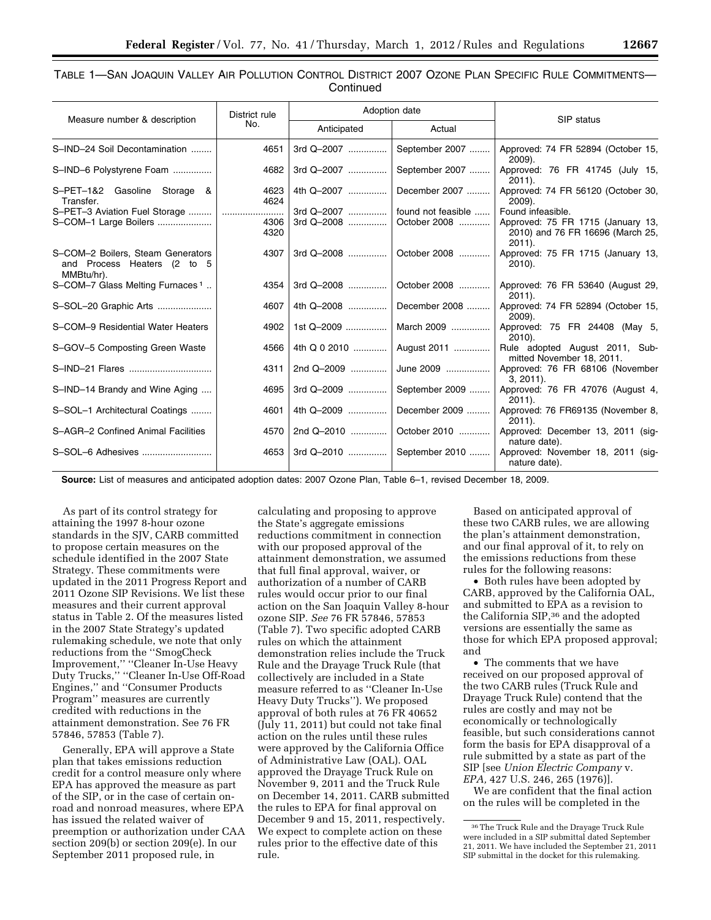TABLE 1—SAN JOAQUIN VALLEY AIR POLLUTION CONTROL DISTRICT 2007 OZONE PLAN SPECIFIC RULE COMMITMENTS—

|  | Continued |  |
|--|-----------|--|

|                                                                                | District rule |                | Adoption date              |                                                                                    |
|--------------------------------------------------------------------------------|---------------|----------------|----------------------------|------------------------------------------------------------------------------------|
| Measure number & description                                                   | No.           | Anticipated    | Actual                     | SIP status                                                                         |
| S-IND-24 Soil Decontamination                                                  | 4651          | 3rd Q-2007     | September 2007             | Approved: 74 FR 52894 (October 15,<br>2009).                                       |
| S-IND-6 Polystyrene Foam                                                       | 4682          | 3rd Q-2007     | September 2007             | Approved: 76 FR 41745 (July 15,<br>$2011$ ).                                       |
| S-PET-1&2 Gasoline Storage &<br>Transfer.                                      | 4623<br>4624  | 4th Q-2007     | December 2007              | Approved: 74 FR 56120 (October 30,<br>$2009$ ).                                    |
|                                                                                |               | 3rd Q-2007     | found not feasible         | Found infeasible.                                                                  |
| S-COM-1 Large Boilers                                                          | 4306<br>4320  | 3rd $Q - 2008$ | October 2008               | Approved: 75 FR 1715 (January 13,<br>2010) and 76 FR 16696 (March 25,<br>$2011$ ). |
| S-COM-2 Boilers, Steam Generators<br>and Process Heaters (2 to 5<br>MMBtu/hr). | 4307          |                | 3rd Q-2008    October 2008 | Approved: 75 FR 1715 (January 13,<br>$2010$ ).                                     |
| S-COM-7 Glass Melting Furnaces <sup>1</sup>                                    | 4354          | 3rd Q-2008     | October 2008               | Approved: 76 FR 53640 (August 29,<br>$2011$ ).                                     |
| S-SOL-20 Graphic Arts                                                          | 4607          | 4th Q-2008     | December 2008              | Approved: 74 FR 52894 (October 15,<br>2009).                                       |
| S-COM-9 Residential Water Heaters                                              | 4902          | 1st Q-2009     | March 2009                 | Approved: 75 FR 24408 (May 5,<br>$2010$ ).                                         |
| S-GOV-5 Composting Green Waste                                                 | 4566          | 4th Q 0 2010   | August 2011                | Rule adopted August 2011, Sub-<br>mitted November 18, 2011.                        |
|                                                                                | 4311          | 2nd Q-2009     | June 2009                  | Approved: 76 FR 68106 (November<br>$3, 2011$ .                                     |
| S-IND-14 Brandy and Wine Aging                                                 | 4695          | 3rd Q-2009     | September 2009             | Approved: 76 FR 47076 (August 4,<br>$2011$ ).                                      |
| S-SOL-1 Architectural Coatings                                                 | 4601          | 4th Q-2009     | December 2009              | Approved: 76 FR69135 (November 8,<br>$2011$ ).                                     |
| S-AGR-2 Confined Animal Facilities                                             | 4570          | 2nd Q-2010     | October 2010               | Approved: December 13, 2011 (sig-<br>nature date).                                 |
|                                                                                | 4653          |                | 3rd Q-2010  September 2010 | Approved: November 18, 2011 (sig-<br>nature date).                                 |

**Source:** List of measures and anticipated adoption dates: 2007 Ozone Plan, Table 6–1, revised December 18, 2009.

As part of its control strategy for attaining the 1997 8-hour ozone standards in the SJV, CARB committed to propose certain measures on the schedule identified in the 2007 State Strategy. These commitments were updated in the 2011 Progress Report and 2011 Ozone SIP Revisions. We list these measures and their current approval status in Table 2. Of the measures listed in the 2007 State Strategy's updated rulemaking schedule, we note that only reductions from the ''SmogCheck Improvement,'' ''Cleaner In-Use Heavy Duty Trucks,'' ''Cleaner In-Use Off-Road Engines,'' and ''Consumer Products Program'' measures are currently credited with reductions in the attainment demonstration. See 76 FR 57846, 57853 (Table 7).

Generally, EPA will approve a State plan that takes emissions reduction credit for a control measure only where EPA has approved the measure as part of the SIP, or in the case of certain onroad and nonroad measures, where EPA has issued the related waiver of preemption or authorization under CAA section 209(b) or section 209(e). In our September 2011 proposed rule, in

calculating and proposing to approve the State's aggregate emissions reductions commitment in connection with our proposed approval of the attainment demonstration, we assumed that full final approval, waiver, or authorization of a number of CARB rules would occur prior to our final action on the San Joaquin Valley 8-hour ozone SIP. *See* 76 FR 57846, 57853 (Table 7). Two specific adopted CARB rules on which the attainment demonstration relies include the Truck Rule and the Drayage Truck Rule (that collectively are included in a State measure referred to as ''Cleaner In-Use Heavy Duty Trucks''). We proposed approval of both rules at 76 FR 40652 (July 11, 2011) but could not take final action on the rules until these rules were approved by the California Office of Administrative Law (OAL). OAL approved the Drayage Truck Rule on November 9, 2011 and the Truck Rule on December 14, 2011. CARB submitted the rules to EPA for final approval on December 9 and 15, 2011, respectively. We expect to complete action on these rules prior to the effective date of this rule.

Based on anticipated approval of these two CARB rules, we are allowing the plan's attainment demonstration, and our final approval of it, to rely on the emissions reductions from these rules for the following reasons:

• Both rules have been adopted by CARB, approved by the California OAL, and submitted to EPA as a revision to the California SIP,36 and the adopted versions are essentially the same as those for which EPA proposed approval; and

• The comments that we have received on our proposed approval of the two CARB rules (Truck Rule and Drayage Truck Rule) contend that the rules are costly and may not be economically or technologically feasible, but such considerations cannot form the basis for EPA disapproval of a rule submitted by a state as part of the SIP [see *Union Electric Company* v. *EPA,* 427 U.S. 246, 265 (1976)].

We are confident that the final action on the rules will be completed in the

<sup>36</sup>The Truck Rule and the Drayage Truck Rule were included in a SIP submittal dated September 21, 2011. We have included the September 21, 2011 SIP submittal in the docket for this rulemaking.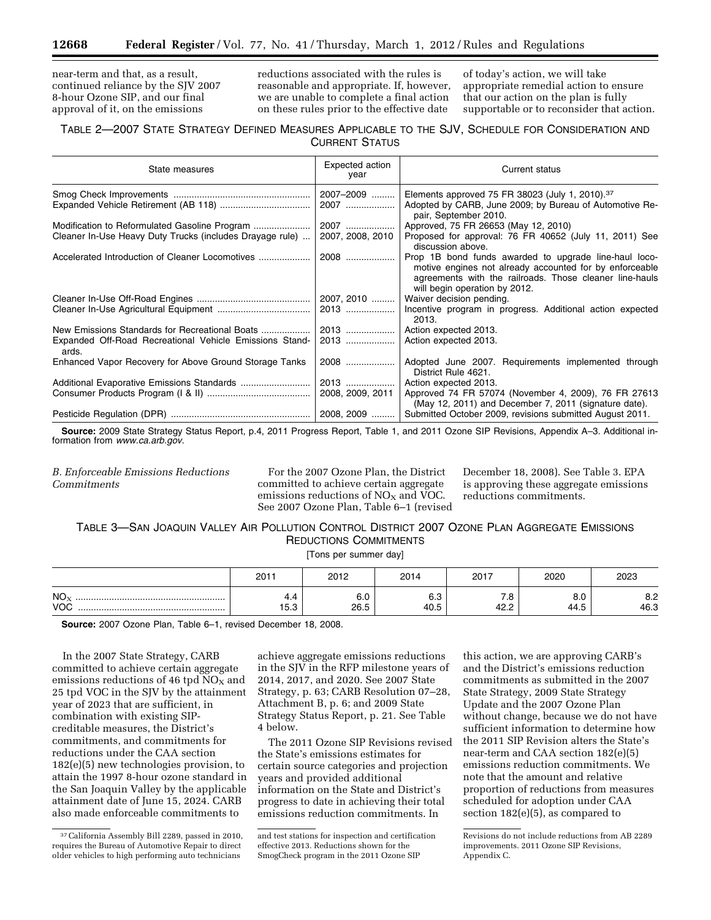near-term and that, as a result, continued reliance by the SJV 2007 8-hour Ozone SIP, and our final approval of it, on the emissions

reductions associated with the rules is reasonable and appropriate. If, however, we are unable to complete a final action on these rules prior to the effective date

of today's action, we will take appropriate remedial action to ensure that our action on the plan is fully supportable or to reconsider that action.

# TABLE 2—2007 STATE STRATEGY DEFINED MEASURES APPLICABLE TO THE SJV, SCHEDULE FOR CONSIDERATION AND CURRENT STATUS

| State measures                                                   | Expected action<br>year | Current status                                                                                                                                                                                               |
|------------------------------------------------------------------|-------------------------|--------------------------------------------------------------------------------------------------------------------------------------------------------------------------------------------------------------|
|                                                                  | 2007-2009<br>2007       | Elements approved 75 FR 38023 (July 1, 2010). <sup>37</sup><br>Adopted by CARB, June 2009; by Bureau of Automotive Re-                                                                                       |
|                                                                  |                         | pair, September 2010.                                                                                                                                                                                        |
|                                                                  | 2007                    | Approved, 75 FR 26653 (May 12, 2010)                                                                                                                                                                         |
| Cleaner In-Use Heavy Duty Trucks (includes Drayage rule)         | 2007, 2008, 2010        | Proposed for approval: 76 FR 40652 (July 11, 2011) See<br>discussion above.                                                                                                                                  |
| Accelerated Introduction of Cleaner Locomotives                  | 2008                    | Prop 1B bond funds awarded to upgrade line-haul loco-<br>motive engines not already accounted for by enforceable<br>agreements with the railroads. Those cleaner line-hauls<br>will begin operation by 2012. |
|                                                                  | 2007, 2010              | Waiver decision pending.                                                                                                                                                                                     |
|                                                                  | 2013                    | Incentive program in progress. Additional action expected<br>2013.                                                                                                                                           |
| New Emissions Standards for Recreational Boats                   | 2013                    | Action expected 2013.                                                                                                                                                                                        |
| Expanded Off-Road Recreational Vehicle Emissions Stand-<br>ards. | 2013                    | Action expected 2013.                                                                                                                                                                                        |
| Enhanced Vapor Recovery for Above Ground Storage Tanks           | 2008                    | Adopted June 2007. Requirements implemented through<br>District Rule 4621.                                                                                                                                   |
|                                                                  | 2013                    | Action expected 2013.                                                                                                                                                                                        |
|                                                                  | 2008, 2009, 2011        | Approved 74 FR 57074 (November 4, 2009), 76 FR 27613<br>(May 12, 2011) and December 7, 2011 (signature date).                                                                                                |
|                                                                  | 2008, 2009              | Submitted October 2009, revisions submitted August 2011.                                                                                                                                                     |

**Source:** 2009 State Strategy Status Report, p.4, 2011 Progress Report, Table 1, and 2011 Ozone SIP Revisions, Appendix A–3. Additional information from *[www.ca.arb.gov](http://www.ca.arb.gov)*.

*B. Enforceable Emissions Reductions Commitments* 

For the 2007 Ozone Plan, the District committed to achieve certain aggregate emissions reductions of  $NO<sub>X</sub>$  and VOC. See 2007 Ozone Plan, Table 6–1 (revised

December 18, 2008). See Table 3. EPA is approving these aggregate emissions reductions commitments.

# TABLE 3—SAN JOAQUIN VALLEY AIR POLLUTION CONTROL DISTRICT 2007 OZONE PLAN AGGREGATE EMISSIONS REDUCTIONS COMMITMENTS

[Tons per summer day]

|                               | 2011                   | 2012                         | 2014        | 2017                 | 2020             | 2023        |  |  |
|-------------------------------|------------------------|------------------------------|-------------|----------------------|------------------|-------------|--|--|
| NO <sub>x</sub><br><b>VOC</b> | д д<br><br>.<br>ن. ن ا | $\sim$ $\sim$<br>b.U<br>26.5 | ט.ט<br>40.5 | ه. ،<br>م مه<br>42.Z | ∽<br>8.U<br>44.5 | 8.2<br>46.3 |  |  |

**Source:** 2007 Ozone Plan, Table 6–1, revised December 18, 2008.

In the 2007 State Strategy, CARB committed to achieve certain aggregate emissions reductions of 46 tpd  $NO<sub>x</sub>$  and 25 tpd VOC in the SJV by the attainment year of 2023 that are sufficient, in combination with existing SIPcreditable measures, the District's commitments, and commitments for reductions under the CAA section 182(e)(5) new technologies provision, to attain the 1997 8-hour ozone standard in the San Joaquin Valley by the applicable attainment date of June 15, 2024. CARB also made enforceable commitments to

achieve aggregate emissions reductions in the SJV in the RFP milestone years of 2014, 2017, and 2020. See 2007 State Strategy, p. 63; CARB Resolution 07–28, Attachment B, p. 6; and 2009 State Strategy Status Report, p. 21. See Table 4 below.

The 2011 Ozone SIP Revisions revised the State's emissions estimates for certain source categories and projection years and provided additional information on the State and District's progress to date in achieving their total emissions reduction commitments. In

this action, we are approving CARB's and the District's emissions reduction commitments as submitted in the 2007 State Strategy, 2009 State Strategy Update and the 2007 Ozone Plan without change, because we do not have sufficient information to determine how the 2011 SIP Revision alters the State's near-term and CAA section 182(e)(5) emissions reduction commitments. We note that the amount and relative proportion of reductions from measures scheduled for adoption under CAA section 182(e)(5), as compared to

<sup>37</sup>California Assembly Bill 2289, passed in 2010, requires the Bureau of Automotive Repair to direct older vehicles to high performing auto technicians

and test stations for inspection and certification effective 2013. Reductions shown for the SmogCheck program in the 2011 Ozone SIP

Revisions do not include reductions from AB 2289 improvements. 2011 Ozone SIP Revisions, Appendix C.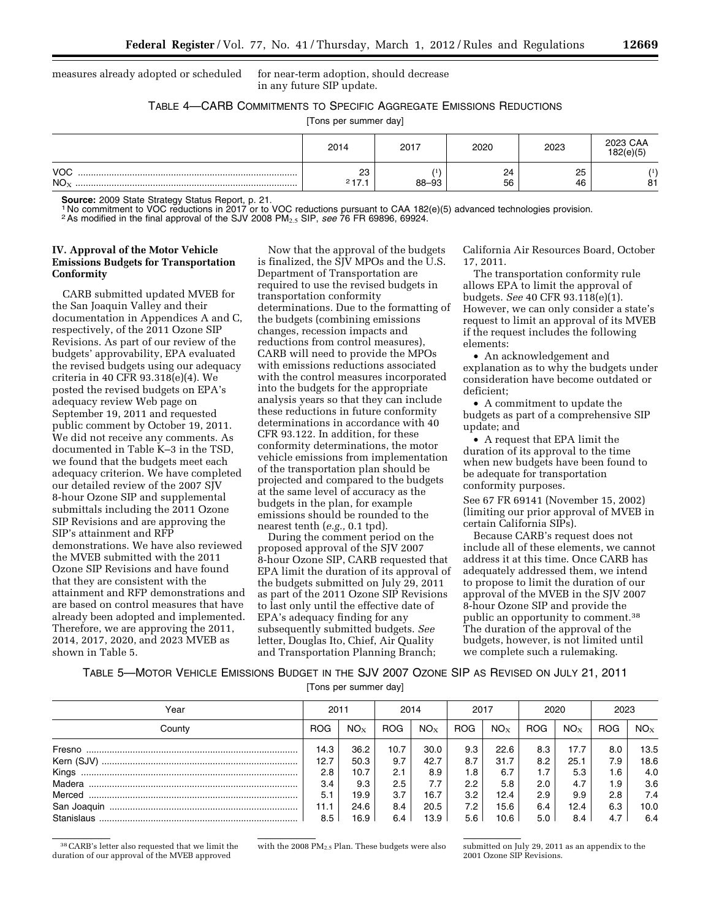measures already adopted or scheduled for near-term adoption, should decrease

in any future SIP update.

TABLE 4—CARB COMMITMENTS TO SPECIFIC AGGREGATE EMISSIONS REDUCTIONS

[Tons per summer day]

|                               | 2014        | 2017  | 2020     | 2023     | 2023 CAA<br>182(e)(5) |
|-------------------------------|-------------|-------|----------|----------|-----------------------|
| <b>VOC</b><br>NO <sub>X</sub> | 23<br>217.1 | 88-93 | 24<br>56 | 25<br>46 | 81                    |

**Source:** 2009 State Strategy Status Report, p. 21.<br><sup>1</sup> No commitment to VOC reductions in 2017 or to VOC reductions pursuant to CAA 182(e)(5) advanced technologies provision.

2As modified in the final approval of the SJV 2008 PM2.5 SIP, *see* 76 FR 69896, 69924.

# **IV. Approval of the Motor Vehicle Emissions Budgets for Transportation Conformity**

CARB submitted updated MVEB for the San Joaquin Valley and their documentation in Appendices A and C, respectively, of the 2011 Ozone SIP Revisions. As part of our review of the budgets' approvability, EPA evaluated the revised budgets using our adequacy criteria in 40 CFR 93.318(e)(4). We posted the revised budgets on EPA's adequacy review Web page on September 19, 2011 and requested public comment by October 19, 2011. We did not receive any comments. As documented in Table K–3 in the TSD, we found that the budgets meet each adequacy criterion. We have completed our detailed review of the 2007 SJV 8-hour Ozone SIP and supplemental submittals including the 2011 Ozone SIP Revisions and are approving the SIP's attainment and RFP demonstrations. We have also reviewed the MVEB submitted with the 2011 Ozone SIP Revisions and have found that they are consistent with the attainment and RFP demonstrations and are based on control measures that have already been adopted and implemented. Therefore, we are approving the 2011, 2014, 2017, 2020, and 2023 MVEB as shown in Table 5.

Now that the approval of the budgets is finalized, the SJV MPOs and the U.S. Department of Transportation are required to use the revised budgets in transportation conformity determinations. Due to the formatting of the budgets (combining emissions changes, recession impacts and reductions from control measures), CARB will need to provide the MPOs with emissions reductions associated with the control measures incorporated into the budgets for the appropriate analysis years so that they can include these reductions in future conformity determinations in accordance with 40 CFR 93.122. In addition, for these conformity determinations, the motor vehicle emissions from implementation of the transportation plan should be projected and compared to the budgets at the same level of accuracy as the budgets in the plan, for example emissions should be rounded to the nearest tenth (*e.g.,* 0.1 tpd).

During the comment period on the proposed approval of the SJV 2007 8-hour Ozone SIP, CARB requested that EPA limit the duration of its approval of the budgets submitted on July 29, 2011 as part of the 2011 Ozone SIP Revisions to last only until the effective date of EPA's adequacy finding for any subsequently submitted budgets. *See*  letter, Douglas Ito, Chief, Air Quality and Transportation Planning Branch;

California Air Resources Board, October 17, 2011.

The transportation conformity rule allows EPA to limit the approval of budgets. *See* 40 CFR 93.118(e)(1). However, we can only consider a state's request to limit an approval of its MVEB if the request includes the following elements:

• An acknowledgement and explanation as to why the budgets under consideration have become outdated or deficient;

• A commitment to update the budgets as part of a comprehensive SIP update; and

• A request that EPA limit the duration of its approval to the time when new budgets have been found to be adequate for transportation conformity purposes.

See 67 FR 69141 (November 15, 2002) (limiting our prior approval of MVEB in certain California SIPs).

Because CARB's request does not include all of these elements, we cannot address it at this time. Once CARB has adequately addressed them, we intend to propose to limit the duration of our approval of the MVEB in the SJV 2007 8-hour Ozone SIP and provide the public an opportunity to comment.<sup>38</sup> The duration of the approval of the budgets, however, is not limited until we complete such a rulemaking.

TABLE 5—MOTOR VEHICLE EMISSIONS BUDGET IN THE SJV 2007 OZONE SIP AS REVISED ON JULY 21, 2011

[Tons per summer day]

| Year        | 2011       |                 | 2014       |          | 2017          |          | 2020       |          | 2023       |                 |
|-------------|------------|-----------------|------------|----------|---------------|----------|------------|----------|------------|-----------------|
| County      | <b>ROG</b> | NO <sub>x</sub> | <b>ROG</b> | $NO_{X}$ | <b>ROG</b>    | $NO_{X}$ | <b>ROG</b> | $NO_{X}$ | <b>ROG</b> | NO <sub>x</sub> |
| Fresno      | 14.3       | 36.2            | 10.7       | 30.0     | 9.3           | 22.6     | 8.3        | 17.7     | 8.0        | 13.5            |
|             | 12.7       | 50.3            | 9.7        | 42.7     | 8.7           | 31.7     | 8.2        | 25.1     | 7.9        | 18.6            |
| Kings       | 2.8        | 10.7            | 2.1        | 8.9      | 1.8           | 6.7      | 1.7        | 5.3      | 1.6        | 4.0             |
|             | 3.4        | 9.3             | 2.5        | 7.7      | $2.2^{\circ}$ | 5.8      | 2.0        | 4.7      | 1.9        | 3.6             |
| Merced      | 5.1        | 19.9            | 3.7        | 16.7     | 3.2           | 12.4     | 2.9        | 9.9      | 2.8        | 7.4             |
| San Joaquin | 11.1       | 24.6            | 8.4        | 20.5     | 7.2           | 15.6     | 6.4        | 12.4     | 6.3        | 10.0            |
|             | 8.5        | 16.9            | 6.4        | 13.9     | 5.6           | 10.6     | 5.0        | 8.4      | 4.7        | 6.4             |

38CARB's letter also requested that we limit the duration of our approval of the MVEB approved

with the 2008 PM<sub>2.5</sub> Plan. These budgets were also submitted on July 29, 2011 as an appendix to the 2001 Ozone SIP Revisions.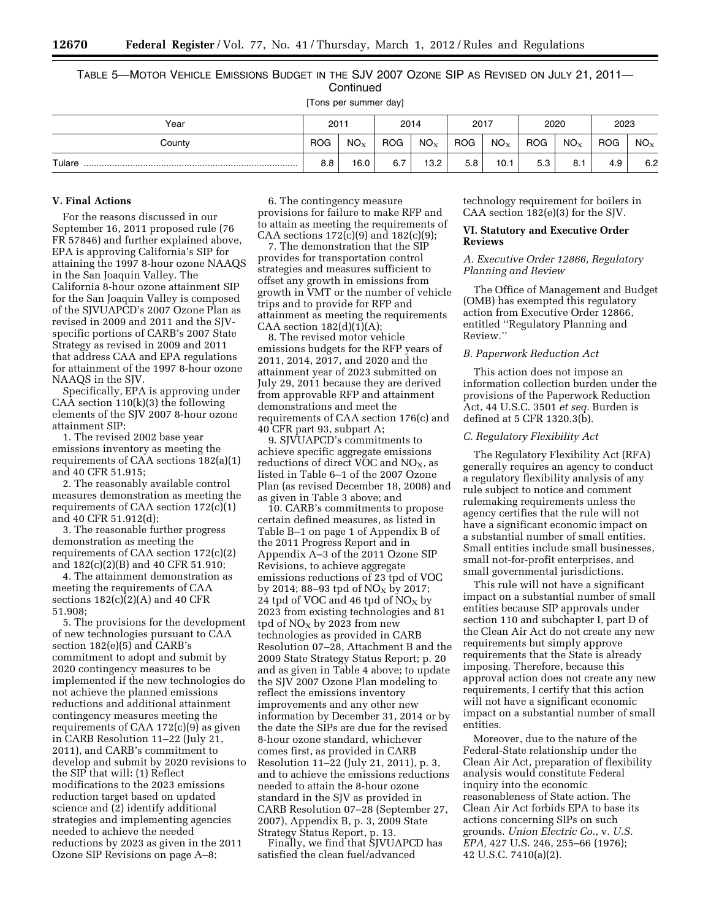# TABLE 5—MOTOR VEHICLE EMISSIONS BUDGET IN THE SJV 2007 OZONE SIP AS REVISED ON JULY 21, 2011— **Continued**

[Tons per summer day]

| Year   | 2011       |          | 2014       |                 | 2017       |          | 2020       |                          | 2023       |                 |
|--------|------------|----------|------------|-----------------|------------|----------|------------|--------------------------|------------|-----------------|
| County | <b>ROG</b> | $NO_{X}$ | <b>ROG</b> | NO <sub>X</sub> | <b>ROG</b> | $NO_{X}$ | <b>ROG</b> | $\mathsf{NO}_\mathbf{X}$ | <b>ROG</b> | NO <sub>x</sub> |
| Tulare | 8.8        | 16.0     | 6.7        | 13.2            | 5.8        | 10.1     | 5.3        | 8.1                      | 4.9        | 6.2             |

#### **V. Final Actions**

For the reasons discussed in our September 16, 2011 proposed rule (76 FR 57846) and further explained above, EPA is approving California's SIP for attaining the 1997 8-hour ozone NAAQS in the San Joaquin Valley. The California 8-hour ozone attainment SIP for the San Joaquin Valley is composed of the SJVUAPCD's 2007 Ozone Plan as revised in 2009 and 2011 and the SJVspecific portions of CARB's 2007 State Strategy as revised in 2009 and 2011 that address CAA and EPA regulations for attainment of the 1997 8-hour ozone NAAQS in the SJV.

Specifically, EPA is approving under CAA section  $110(k)(3)$  the following elements of the SJV 2007 8-hour ozone attainment SIP:

1. The revised 2002 base year emissions inventory as meeting the requirements of CAA sections 182(a)(1) and 40 CFR 51.915;

2. The reasonably available control measures demonstration as meeting the requirements of CAA section 172(c)(1) and 40 CFR 51.912(d);

3. The reasonable further progress demonstration as meeting the requirements of CAA section 172(c)(2) and 182(c)(2)(B) and 40 CFR 51.910;

4. The attainment demonstration as meeting the requirements of CAA sections 182(c)(2)(A) and 40 CFR 51.908;

5. The provisions for the development of new technologies pursuant to CAA section 182(e)(5) and CARB's commitment to adopt and submit by 2020 contingency measures to be implemented if the new technologies do not achieve the planned emissions reductions and additional attainment contingency measures meeting the requirements of CAA  $172(c)(9)$  as given in CARB Resolution 11–22 (July 21, 2011), and CARB's commitment to develop and submit by 2020 revisions to the SIP that will: (1) Reflect modifications to the 2023 emissions reduction target based on updated science and (2) identify additional strategies and implementing agencies needed to achieve the needed reductions by 2023 as given in the 2011 Ozone SIP Revisions on page A–8;

6. The contingency measure provisions for failure to make RFP and to attain as meeting the requirements of CAA sections  $172(c)(9)$  and  $182(c)(9)$ ;

7. The demonstration that the SIP provides for transportation control strategies and measures sufficient to offset any growth in emissions from growth in VMT or the number of vehicle trips and to provide for RFP and attainment as meeting the requirements CAA section  $182(d)(1)(A);$ 

8. The revised motor vehicle emissions budgets for the RFP years of 2011, 2014, 2017, and 2020 and the attainment year of 2023 submitted on July 29, 2011 because they are derived from approvable RFP and attainment demonstrations and meet the requirements of CAA section 176(c) and 40 CFR part 93, subpart A;

9. SJVUAPCD's commitments to achieve specific aggregate emissions reductions of direct VOC and  $NO<sub>x</sub>$ , as listed in Table 6–1 of the 2007 Ozone Plan (as revised December 18, 2008) and as given in Table 3 above; and

10. CARB's commitments to propose certain defined measures, as listed in Table B–1 on page 1 of Appendix B of the 2011 Progress Report and in Appendix A–3 of the 2011 Ozone SIP Revisions, to achieve aggregate emissions reductions of 23 tpd of VOC by 2014; 88–93 tpd of  $NO<sub>x</sub>$  by 2017; 24 tpd of VOC and 46 tpd of  $NO<sub>X</sub>$  by 2023 from existing technologies and 81 tpd of  $NO<sub>x</sub>$  by 2023 from new technologies as provided in CARB Resolution 07–28, Attachment B and the 2009 State Strategy Status Report; p. 20 and as given in Table 4 above; to update the SJV 2007 Ozone Plan modeling to reflect the emissions inventory improvements and any other new information by December 31, 2014 or by the date the SIPs are due for the revised 8-hour ozone standard, whichever comes first, as provided in CARB Resolution 11–22 (July 21, 2011), p. 3, and to achieve the emissions reductions needed to attain the 8-hour ozone standard in the SJV as provided in CARB Resolution 07–28 (September 27, 2007), Appendix B, p. 3, 2009 State Strategy Status Report, p. 13.

Finally, we find that SJVUAPCD has satisfied the clean fuel/advanced

technology requirement for boilers in CAA section 182(e)(3) for the SJV.

### **VI. Statutory and Executive Order Reviews**

### *A. Executive Order 12866, Regulatory Planning and Review*

The Office of Management and Budget (OMB) has exempted this regulatory action from Executive Order 12866, entitled ''Regulatory Planning and Review.''

# *B. Paperwork Reduction Act*

This action does not impose an information collection burden under the provisions of the Paperwork Reduction Act, 44 U.S.C. 3501 *et seq.* Burden is defined at 5 CFR 1320.3(b).

# *C. Regulatory Flexibility Act*

The Regulatory Flexibility Act (RFA) generally requires an agency to conduct a regulatory flexibility analysis of any rule subject to notice and comment rulemaking requirements unless the agency certifies that the rule will not have a significant economic impact on a substantial number of small entities. Small entities include small businesses, small not-for-profit enterprises, and small governmental jurisdictions.

This rule will not have a significant impact on a substantial number of small entities because SIP approvals under section 110 and subchapter I, part D of the Clean Air Act do not create any new requirements but simply approve requirements that the State is already imposing. Therefore, because this approval action does not create any new requirements, I certify that this action will not have a significant economic impact on a substantial number of small entities.

Moreover, due to the nature of the Federal-State relationship under the Clean Air Act, preparation of flexibility analysis would constitute Federal inquiry into the economic reasonableness of State action. The Clean Air Act forbids EPA to base its actions concerning SIPs on such grounds. *Union Electric Co.,* v. *U.S. EPA,* 427 U.S. 246, 255–66 (1976); 42 U.S.C. 7410(a)(2).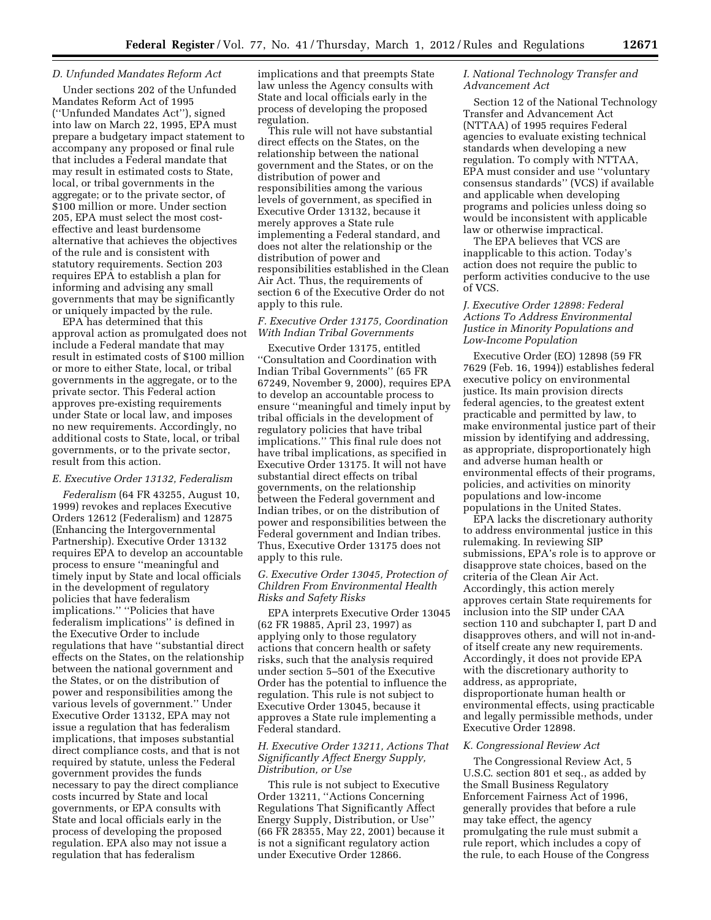#### *D. Unfunded Mandates Reform Act*

Under sections 202 of the Unfunded Mandates Reform Act of 1995 (''Unfunded Mandates Act''), signed into law on March 22, 1995, EPA must prepare a budgetary impact statement to accompany any proposed or final rule that includes a Federal mandate that may result in estimated costs to State, local, or tribal governments in the aggregate; or to the private sector, of \$100 million or more. Under section 205, EPA must select the most costeffective and least burdensome alternative that achieves the objectives of the rule and is consistent with statutory requirements. Section 203 requires EPA to establish a plan for informing and advising any small governments that may be significantly or uniquely impacted by the rule.

EPA has determined that this approval action as promulgated does not include a Federal mandate that may result in estimated costs of \$100 million or more to either State, local, or tribal governments in the aggregate, or to the private sector. This Federal action approves pre-existing requirements under State or local law, and imposes no new requirements. Accordingly, no additional costs to State, local, or tribal governments, or to the private sector, result from this action.

#### *E. Executive Order 13132, Federalism*

*Federalism* (64 FR 43255, August 10, 1999) revokes and replaces Executive Orders 12612 (Federalism) and 12875 (Enhancing the Intergovernmental Partnership). Executive Order 13132 requires EPA to develop an accountable process to ensure ''meaningful and timely input by State and local officials in the development of regulatory policies that have federalism implications.'' ''Policies that have federalism implications'' is defined in the Executive Order to include regulations that have ''substantial direct effects on the States, on the relationship between the national government and the States, or on the distribution of power and responsibilities among the various levels of government.'' Under Executive Order 13132, EPA may not issue a regulation that has federalism implications, that imposes substantial direct compliance costs, and that is not required by statute, unless the Federal government provides the funds necessary to pay the direct compliance costs incurred by State and local governments, or EPA consults with State and local officials early in the process of developing the proposed regulation. EPA also may not issue a regulation that has federalism

implications and that preempts State law unless the Agency consults with State and local officials early in the process of developing the proposed regulation.

This rule will not have substantial direct effects on the States, on the relationship between the national government and the States, or on the distribution of power and responsibilities among the various levels of government, as specified in Executive Order 13132, because it merely approves a State rule implementing a Federal standard, and does not alter the relationship or the distribution of power and responsibilities established in the Clean Air Act. Thus, the requirements of section 6 of the Executive Order do not apply to this rule.

### *F. Executive Order 13175, Coordination With Indian Tribal Governments*

Executive Order 13175, entitled ''Consultation and Coordination with Indian Tribal Governments'' (65 FR 67249, November 9, 2000), requires EPA to develop an accountable process to ensure ''meaningful and timely input by tribal officials in the development of regulatory policies that have tribal implications.'' This final rule does not have tribal implications, as specified in Executive Order 13175. It will not have substantial direct effects on tribal governments, on the relationship between the Federal government and Indian tribes, or on the distribution of power and responsibilities between the Federal government and Indian tribes. Thus, Executive Order 13175 does not apply to this rule.

#### *G. Executive Order 13045, Protection of Children From Environmental Health Risks and Safety Risks*

EPA interprets Executive Order 13045 (62 FR 19885, April 23, 1997) as applying only to those regulatory actions that concern health or safety risks, such that the analysis required under section 5–501 of the Executive Order has the potential to influence the regulation. This rule is not subject to Executive Order 13045, because it approves a State rule implementing a Federal standard.

#### *H. Executive Order 13211, Actions That Significantly Affect Energy Supply, Distribution, or Use*

This rule is not subject to Executive Order 13211, ''Actions Concerning Regulations That Significantly Affect Energy Supply, Distribution, or Use'' (66 FR 28355, May 22, 2001) because it is not a significant regulatory action under Executive Order 12866.

### *I. National Technology Transfer and Advancement Act*

Section 12 of the National Technology Transfer and Advancement Act (NTTAA) of 1995 requires Federal agencies to evaluate existing technical standards when developing a new regulation. To comply with NTTAA, EPA must consider and use ''voluntary consensus standards'' (VCS) if available and applicable when developing programs and policies unless doing so would be inconsistent with applicable law or otherwise impractical.

The EPA believes that VCS are inapplicable to this action. Today's action does not require the public to perform activities conducive to the use of VCS.

### *J. Executive Order 12898: Federal Actions To Address Environmental Justice in Minority Populations and Low-Income Population*

Executive Order (EO) 12898 (59 FR 7629 (Feb. 16, 1994)) establishes federal executive policy on environmental justice. Its main provision directs federal agencies, to the greatest extent practicable and permitted by law, to make environmental justice part of their mission by identifying and addressing, as appropriate, disproportionately high and adverse human health or environmental effects of their programs, policies, and activities on minority populations and low-income populations in the United States.

EPA lacks the discretionary authority to address environmental justice in this rulemaking. In reviewing SIP submissions, EPA's role is to approve or disapprove state choices, based on the criteria of the Clean Air Act. Accordingly, this action merely approves certain State requirements for inclusion into the SIP under CAA section 110 and subchapter I, part D and disapproves others, and will not in-andof itself create any new requirements. Accordingly, it does not provide EPA with the discretionary authority to address, as appropriate, disproportionate human health or environmental effects, using practicable and legally permissible methods, under Executive Order 12898.

# *K. Congressional Review Act*

The Congressional Review Act, 5 U.S.C. section 801 et seq., as added by the Small Business Regulatory Enforcement Fairness Act of 1996, generally provides that before a rule may take effect, the agency promulgating the rule must submit a rule report, which includes a copy of the rule, to each House of the Congress